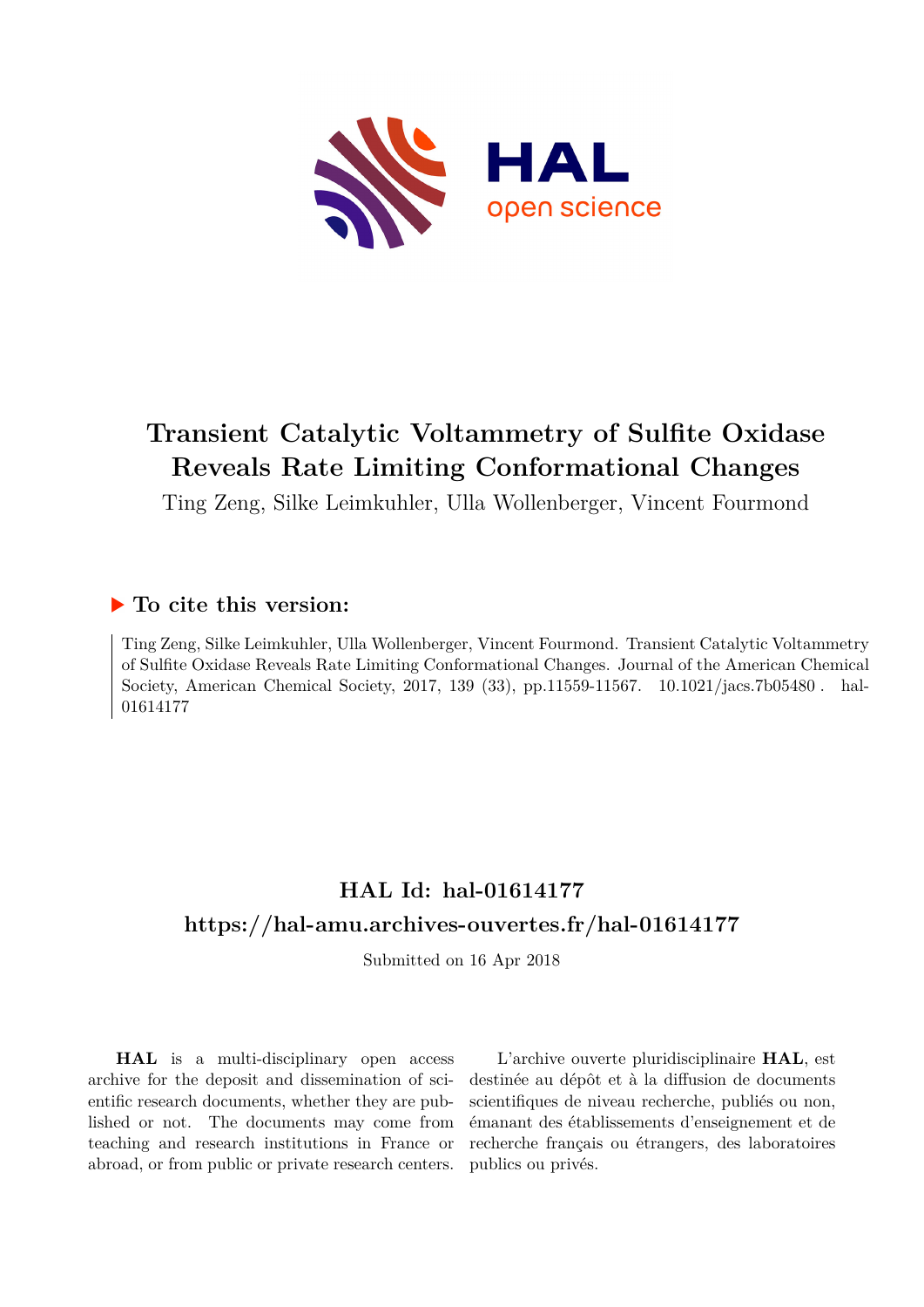

### **Transient Catalytic Voltammetry of Sulfite Oxidase Reveals Rate Limiting Conformational Changes**

Ting Zeng, Silke Leimkuhler, Ulla Wollenberger, Vincent Fourmond

#### **To cite this version:**

Ting Zeng, Silke Leimkuhler, Ulla Wollenberger, Vincent Fourmond. Transient Catalytic Voltammetry of Sulfite Oxidase Reveals Rate Limiting Conformational Changes. Journal of the American Chemical Society, American Chemical Society, 2017, 139 (33), pp.11559-11567. 10.1021/jacs.7b05480. hal-01614177

### **HAL Id: hal-01614177 <https://hal-amu.archives-ouvertes.fr/hal-01614177>**

Submitted on 16 Apr 2018

**HAL** is a multi-disciplinary open access archive for the deposit and dissemination of scientific research documents, whether they are published or not. The documents may come from teaching and research institutions in France or abroad, or from public or private research centers.

L'archive ouverte pluridisciplinaire **HAL**, est destinée au dépôt et à la diffusion de documents scientifiques de niveau recherche, publiés ou non, émanant des établissements d'enseignement et de recherche français ou étrangers, des laboratoires publics ou privés.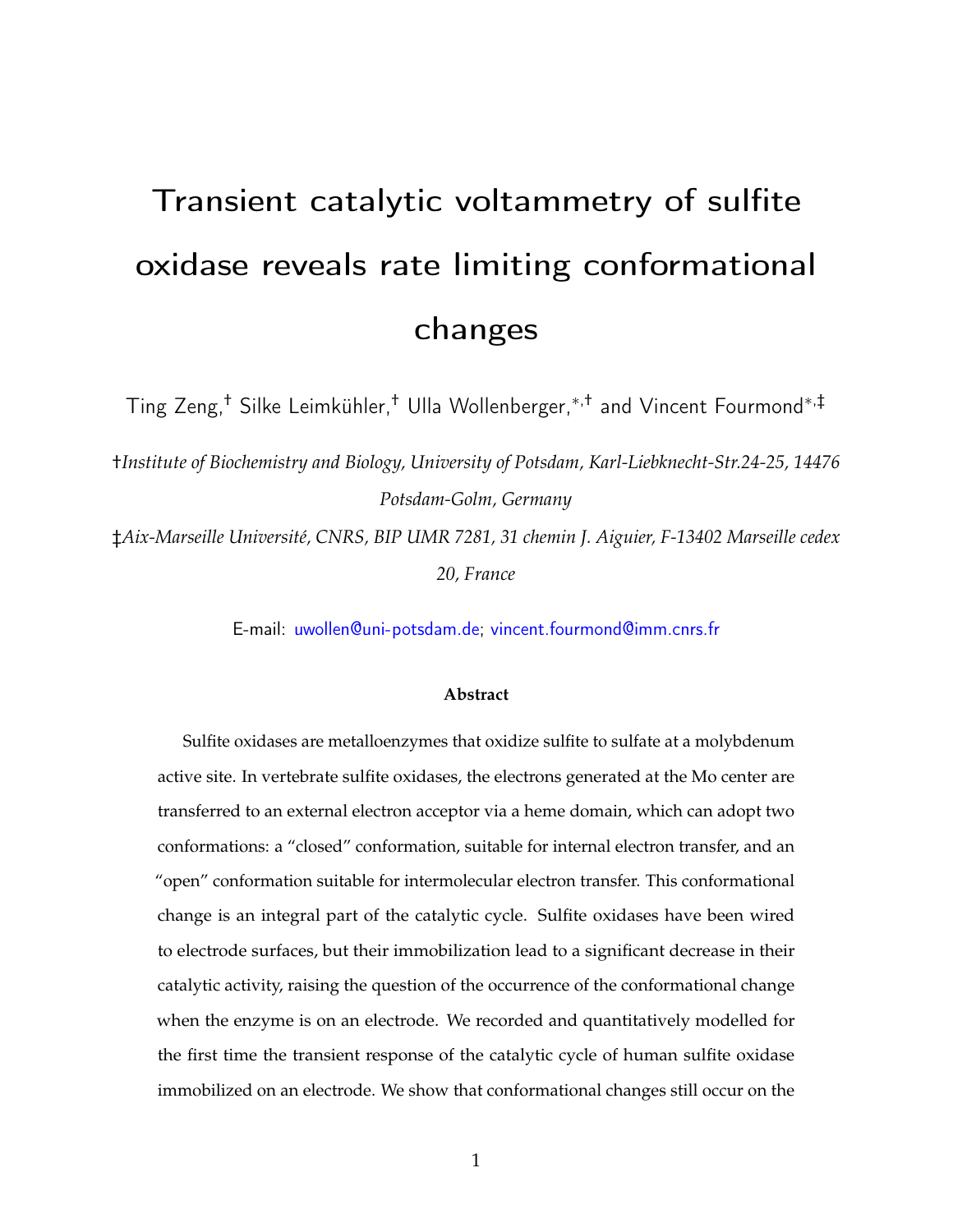# Transient catalytic voltammetry of sulfite oxidase reveals rate limiting conformational changes

Ting Zeng,† Silke Leimkühler,† Ulla Wollenberger,∗,† and Vincent Fourmond∗,‡

†*Institute of Biochemistry and Biology, University of Potsdam, Karl-Liebknecht-Str.24-25, 14476 Potsdam-Golm, Germany*

‡*Aix-Marseille Université, CNRS, BIP UMR 7281, 31 chemin J. Aiguier, F-13402 Marseille cedex 20, France*

E-mail: [uwollen@uni-potsdam.de;](uwollen@uni-potsdam.de) <vincent.fourmond@imm.cnrs.fr>

#### **Abstract**

Sulfite oxidases are metalloenzymes that oxidize sulfite to sulfate at a molybdenum active site. In vertebrate sulfite oxidases, the electrons generated at the Mo center are transferred to an external electron acceptor via a heme domain, which can adopt two conformations: a "closed" conformation, suitable for internal electron transfer, and an "open" conformation suitable for intermolecular electron transfer. This conformational change is an integral part of the catalytic cycle. Sulfite oxidases have been wired to electrode surfaces, but their immobilization lead to a significant decrease in their catalytic activity, raising the question of the occurrence of the conformational change when the enzyme is on an electrode. We recorded and quantitatively modelled for the first time the transient response of the catalytic cycle of human sulfite oxidase immobilized on an electrode. We show that conformational changes still occur on the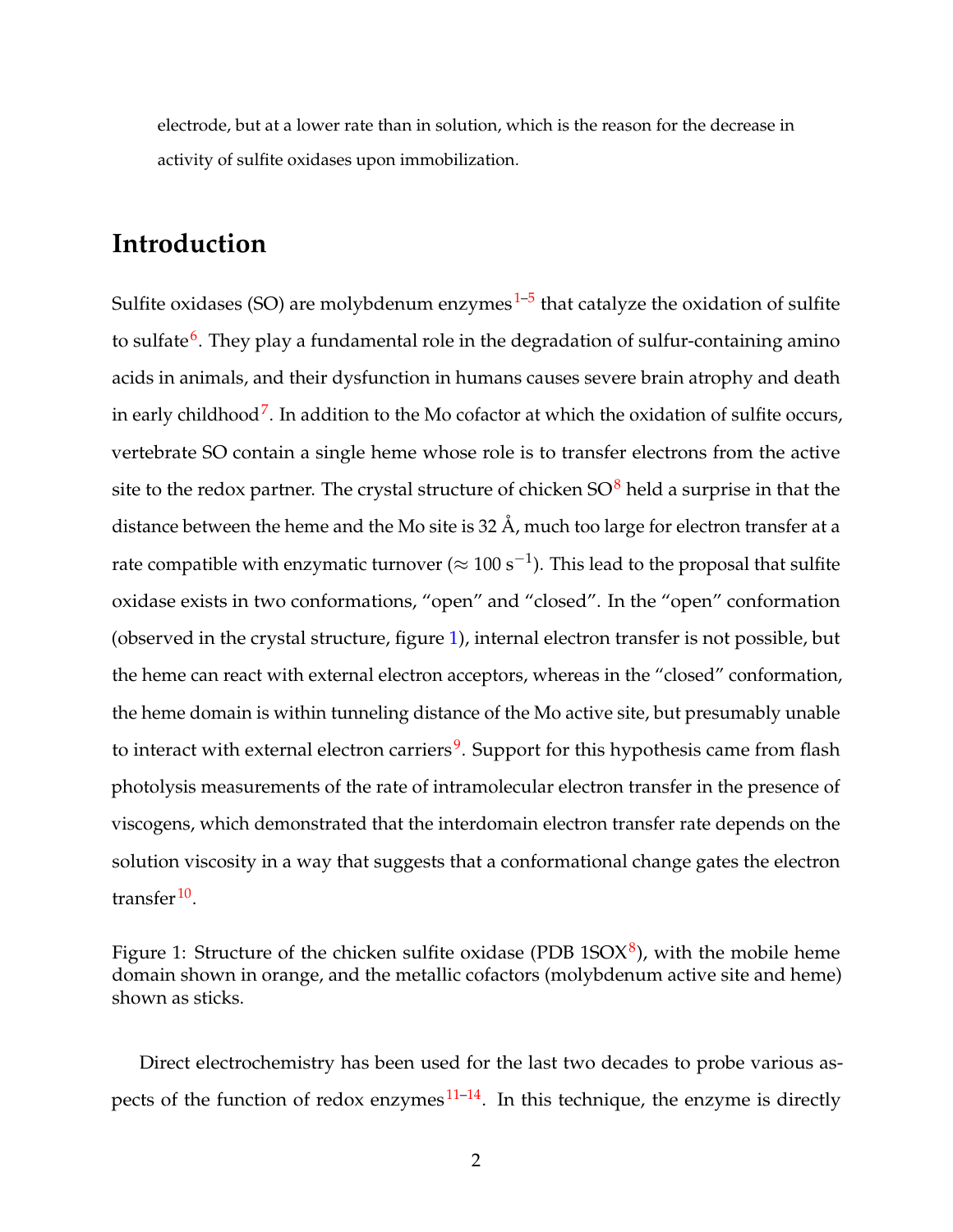electrode, but at a lower rate than in solution, which is the reason for the decrease in activity of sulfite oxidases upon immobilization.

### **Introduction**

Sulfite oxidases (SO) are molybdenum enzymes $^{\mathrm{1-5}}$  that catalyze the oxidation of sulfite to sulfate<sup>6</sup>. They play a fundamental role in the degradation of sulfur-containing amino acids in animals, and their dysfunction in humans causes severe brain atrophy and death in early childhood<sup>7</sup>. In addition to the Mo cofactor at which the oxidation of sulfite occurs, vertebrate SO contain a single heme whose role is to transfer electrons from the active site to the redox partner. The crystal structure of chicken  $SO<sup>8</sup>$  held a surprise in that the distance between the heme and the Mo site is 32 Å, much too large for electron transfer at a rate compatible with enzymatic turnover ( $\approx 100 \text{ s}^{-1}$ ). This lead to the proposal that sulfite oxidase exists in two conformations, "open" and "closed". In the "open" conformation (observed in the crystal structure, figure 1), internal electron transfer is not possible, but the heme can react with external electron acceptors, whereas in the "closed" conformation, the heme domain is within tunneling distance of the Mo active site, but presumably unable to interact with external electron carriers<sup>9</sup>. Support for this hypothesis came from flash photolysis measurements of the rate of intramolecular electron transfer in the presence of viscogens, which demonstrated that the interdomain electron transfer rate depends on the solution viscosity in a way that suggests that a conformational change gates the electron transfer<sup>10</sup>.

Figure 1: Structure of the chicken sulfite oxidase (PDB 1SOX<sup>8</sup>), with the mobile heme domain shown in orange, and the metallic cofactors (molybdenum active site and heme) shown as sticks.

Direct electrochemistry has been used for the last two decades to probe various aspects of the function of redox enzymes $11-14$ . In this technique, the enzyme is directly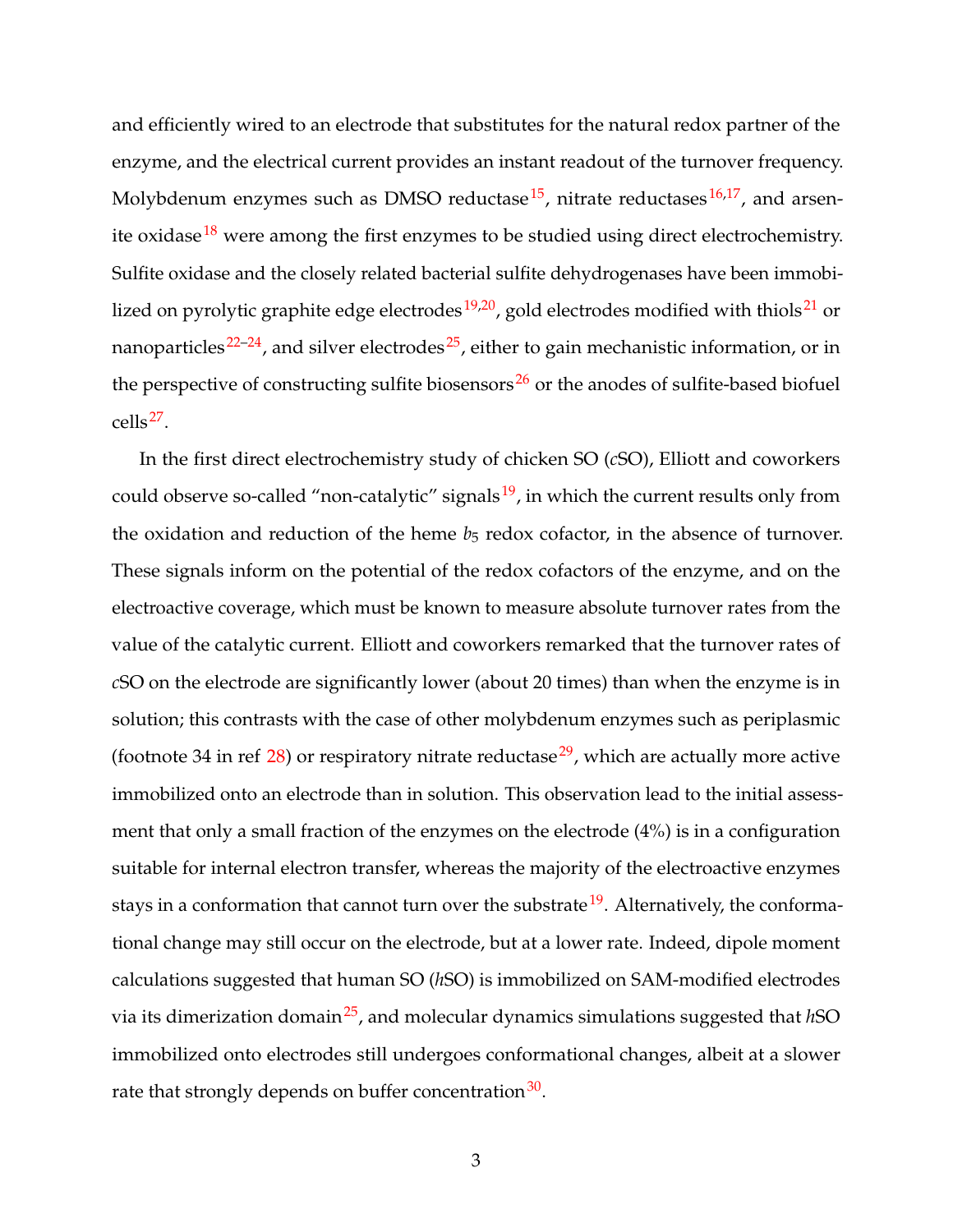and efficiently wired to an electrode that substitutes for the natural redox partner of the enzyme, and the electrical current provides an instant readout of the turnover frequency. Molybdenum enzymes such as DMSO reductase $15$ , nitrate reductases  $16,17$ , and arsenite oxidase<sup>18</sup> were among the first enzymes to be studied using direct electrochemistry. Sulfite oxidase and the closely related bacterial sulfite dehydrogenases have been immobilized on pyrolytic graphite edge electrodes<sup>19,20</sup>, gold electrodes modified with thiols<sup>21</sup> or nanoparticles<sup>22–24</sup>, and silver electrodes<sup>25</sup>, either to gain mechanistic information, or in the perspective of constructing sulfite biosensors<sup>26</sup> or the anodes of sulfite-based biofuel  $\text{cells}^{\mathbf{27}}$ .

In the first direct electrochemistry study of chicken SO (*c*SO), Elliott and coworkers could observe so-called "non-catalytic" signals<sup>19</sup>, in which the current results only from the oxidation and reduction of the heme  $b_5$  redox cofactor, in the absence of turnover. These signals inform on the potential of the redox cofactors of the enzyme, and on the electroactive coverage, which must be known to measure absolute turnover rates from the value of the catalytic current. Elliott and coworkers remarked that the turnover rates of *c*SO on the electrode are significantly lower (about 20 times) than when the enzyme is in solution; this contrasts with the case of other molybdenum enzymes such as periplasmic (footnote 34 in ref 28) or respiratory nitrate reductase<sup>29</sup>, which are actually more active immobilized onto an electrode than in solution. This observation lead to the initial assessment that only a small fraction of the enzymes on the electrode (4%) is in a configuration suitable for internal electron transfer, whereas the majority of the electroactive enzymes stays in a conformation that cannot turn over the substrate  $19$ . Alternatively, the conformational change may still occur on the electrode, but at a lower rate. Indeed, dipole moment calculations suggested that human SO (*h*SO) is immobilized on SAM-modified electrodes via its dimerization domain<sup>25</sup>, and molecular dynamics simulations suggested that  $hSO$ immobilized onto electrodes still undergoes conformational changes, albeit at a slower rate that strongly depends on buffer concentration<sup>30</sup>.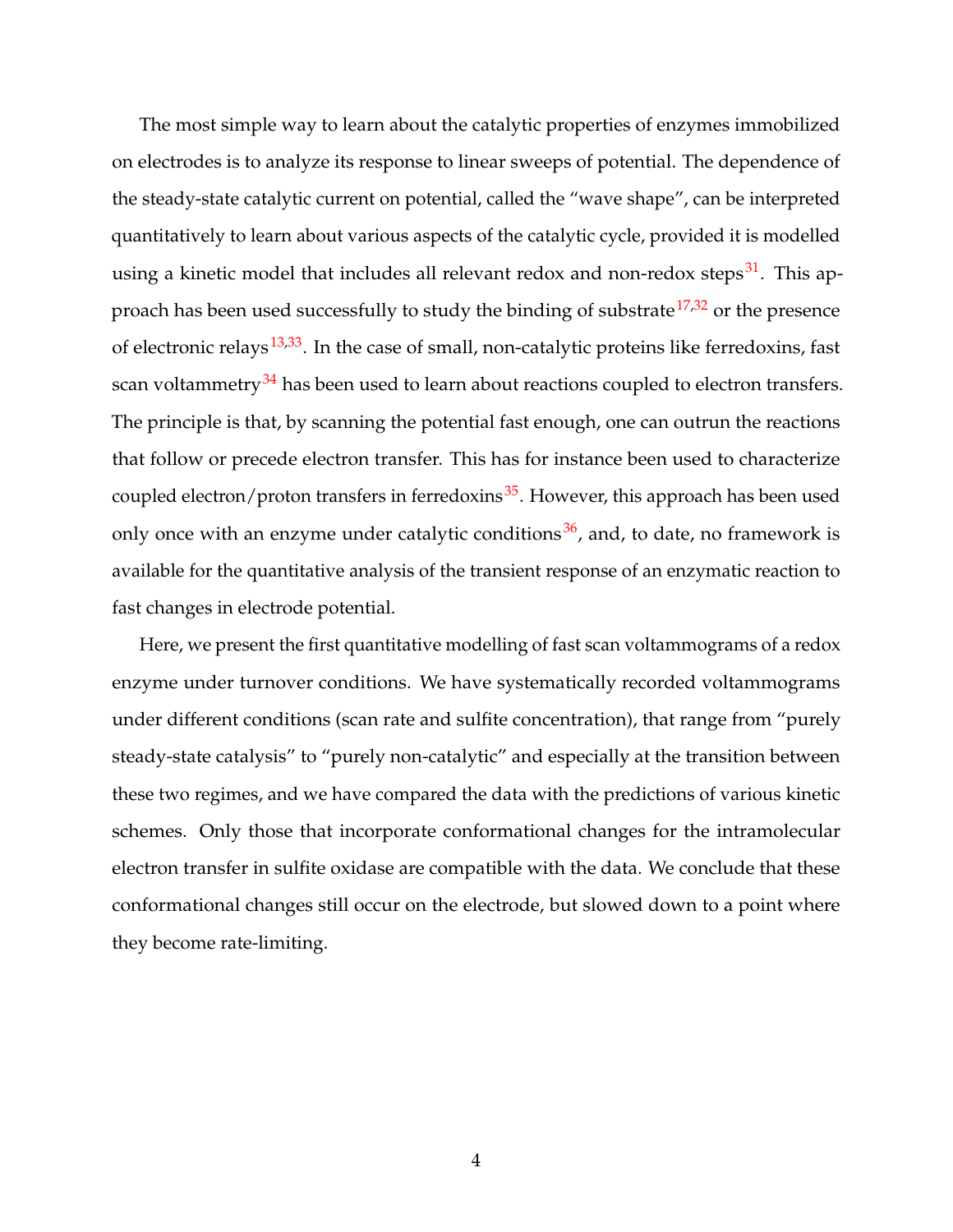The most simple way to learn about the catalytic properties of enzymes immobilized on electrodes is to analyze its response to linear sweeps of potential. The dependence of the steady-state catalytic current on potential, called the "wave shape", can be interpreted quantitatively to learn about various aspects of the catalytic cycle, provided it is modelled using a kinetic model that includes all relevant redox and non-redox steps<sup>31</sup>. This approach has been used successfully to study the binding of substrate  $17,32$  or the presence of electronic relays<sup>13,33</sup>. In the case of small, non-catalytic proteins like ferredoxins, fast scan voltammetry<sup>34</sup> has been used to learn about reactions coupled to electron transfers. The principle is that, by scanning the potential fast enough, one can outrun the reactions that follow or precede electron transfer. This has for instance been used to characterize coupled electron/proton transfers in ferredoxins $35$ . However, this approach has been used only once with an enzyme under catalytic conditions<sup>36</sup>, and, to date, no framework is available for the quantitative analysis of the transient response of an enzymatic reaction to fast changes in electrode potential.

Here, we present the first quantitative modelling of fast scan voltammograms of a redox enzyme under turnover conditions. We have systematically recorded voltammograms under different conditions (scan rate and sulfite concentration), that range from "purely steady-state catalysis" to "purely non-catalytic" and especially at the transition between these two regimes, and we have compared the data with the predictions of various kinetic schemes. Only those that incorporate conformational changes for the intramolecular electron transfer in sulfite oxidase are compatible with the data. We conclude that these conformational changes still occur on the electrode, but slowed down to a point where they become rate-limiting.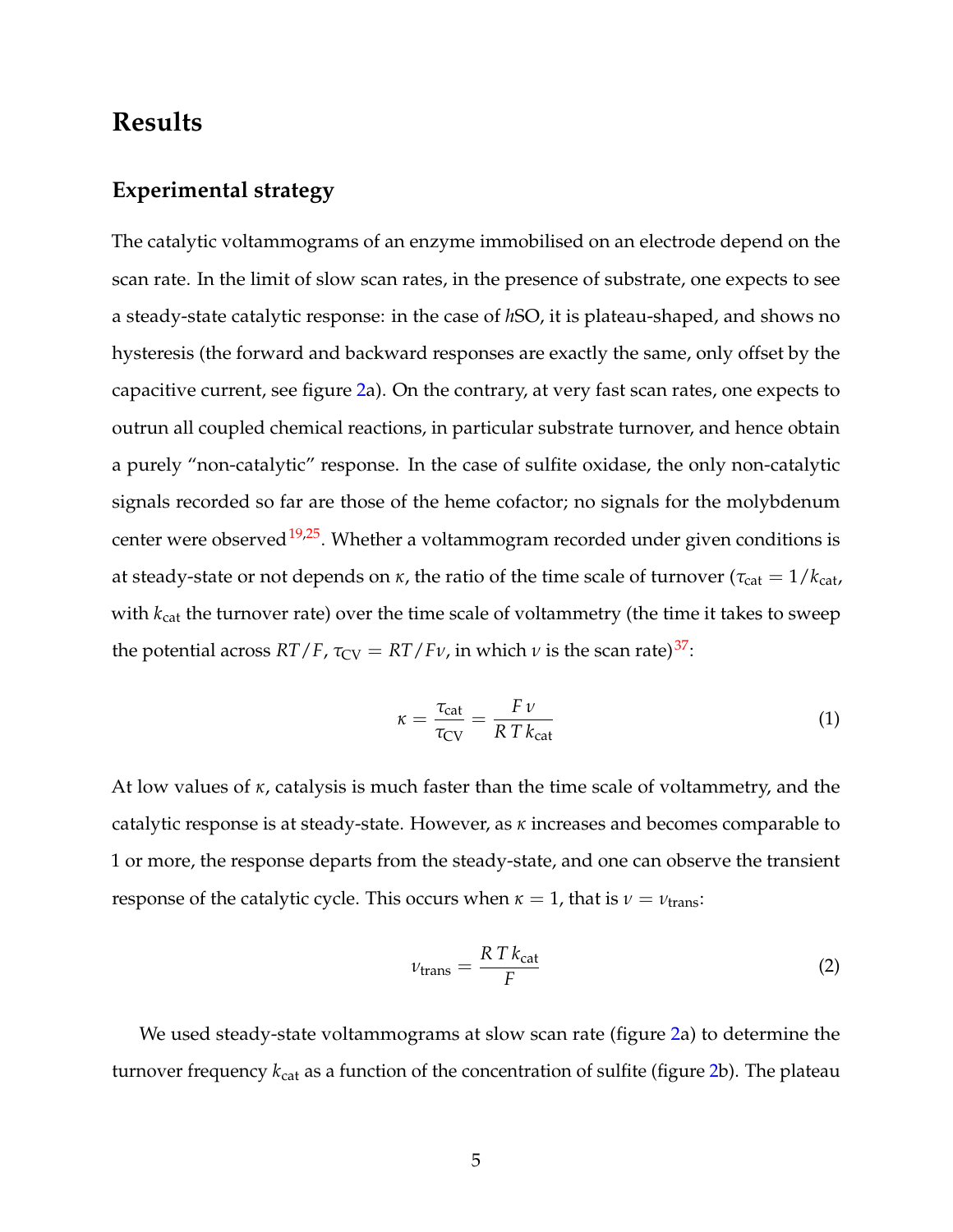### **Results**

#### **Experimental strategy**

The catalytic voltammograms of an enzyme immobilised on an electrode depend on the scan rate. In the limit of slow scan rates, in the presence of substrate, one expects to see a steady-state catalytic response: in the case of *h*SO, it is plateau-shaped, and shows no hysteresis (the forward and backward responses are exactly the same, only offset by the capacitive current, see figure 2a). On the contrary, at very fast scan rates, one expects to outrun all coupled chemical reactions, in particular substrate turnover, and hence obtain a purely "non-catalytic" response. In the case of sulfite oxidase, the only non-catalytic signals recorded so far are those of the heme cofactor; no signals for the molybdenum center were observed  $19,25$ . Whether a voltammogram recorded under given conditions is at steady-state or not depends on  $\kappa$ , the ratio of the time scale of turnover ( $\tau_{cat} = 1/k_{cat}$ , with  $k_{\text{cat}}$  the turnover rate) over the time scale of voltammetry (the time it takes to sweep the potential across  $RT/F$ ,  $\tau_{CV} = RT/F\nu$ , in which  $\nu$  is the scan rate)<sup>37</sup>:

$$
\kappa = \frac{\tau_{\text{cat}}}{\tau_{\text{CV}}} = \frac{F \nu}{R \, T \, k_{\text{cat}}} \tag{1}
$$

At low values of *κ*, catalysis is much faster than the time scale of voltammetry, and the catalytic response is at steady-state. However, as *κ* increases and becomes comparable to 1 or more, the response departs from the steady-state, and one can observe the transient response of the catalytic cycle. This occurs when  $\kappa = 1$ , that is  $\nu = \nu_{trans}$ :

$$
v_{\text{trans}} = \frac{R \, T \, k_{\text{cat}}}{F} \tag{2}
$$

We used steady-state voltammograms at slow scan rate (figure 2a) to determine the turnover frequency  $k_{\text{cat}}$  as a function of the concentration of sulfite (figure 2b). The plateau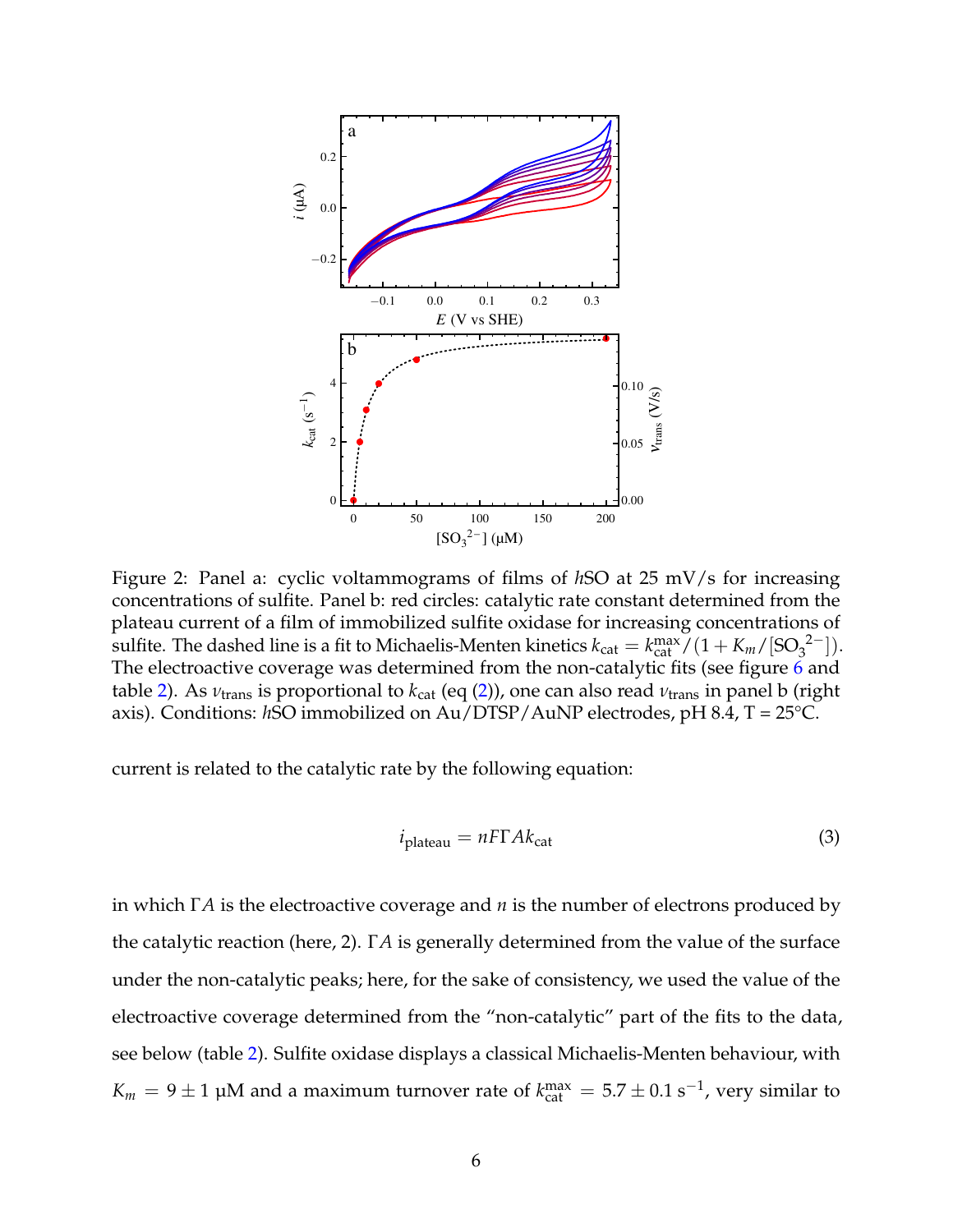

Figure 2: Panel a: cyclic voltammograms of films of *h*SO at 25 mV/s for increasing concentrations of sulfite. Panel b: red circles: catalytic rate constant determined from the plateau current of a film of immobilized sulfite oxidase for increasing concentrations of sulfite. The dashed line is a fit to Michaelis-Menten kinetics  $k_{\text{cat}} = k_{\text{cat}}^{\text{max}}/(1 + K_m / [\text{SO}_3^2^{-}])$ . The electroactive coverage was determined from the non-catalytic fits (see figure 6 and table 2). As *ν*<sub>trans</sub> is proportional to *k*<sub>cat</sub> (eq (2)), one can also read *ν*<sub>trans</sub> in panel b (right axis). Conditions: *h*SO immobilized on Au/DTSP/AuNP electrodes, pH 8.4, T = 25°C.

current is related to the catalytic rate by the following equation:

$$
i_{\text{plateau}} = nF\Gamma Ak_{\text{cat}}\tag{3}
$$

in which Γ*A* is the electroactive coverage and *n* is the number of electrons produced by the catalytic reaction (here, 2). Γ*A* is generally determined from the value of the surface under the non-catalytic peaks; here, for the sake of consistency, we used the value of the electroactive coverage determined from the "non-catalytic" part of the fits to the data, see below (table 2). Sulfite oxidase displays a classical Michaelis-Menten behaviour, with  $K_m = 9 \pm 1$  µM and a maximum turnover rate of  $k_{\text{cat}}^{\text{max}} = 5.7 \pm 0.1 \text{ s}^{-1}$ , very similar to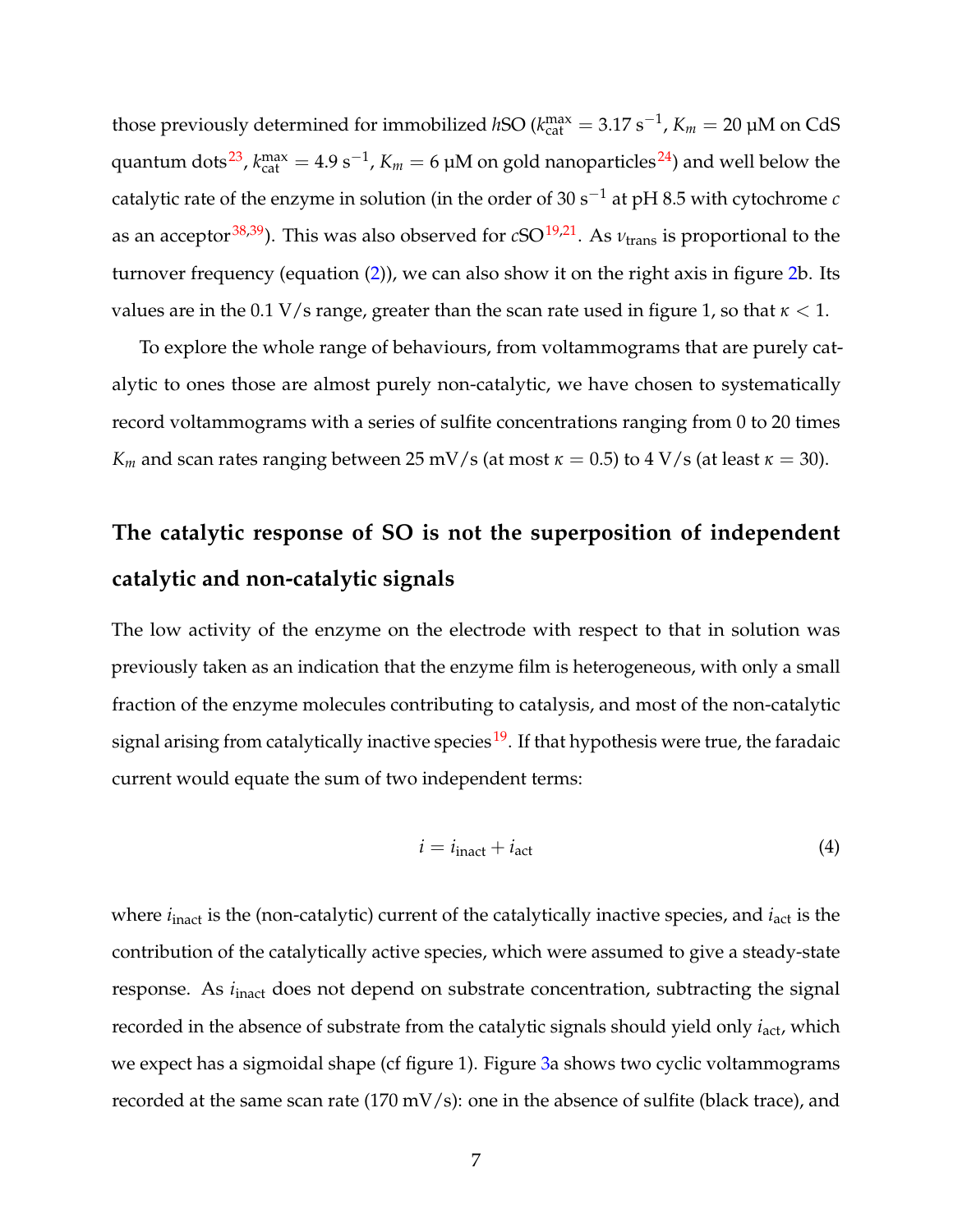those previously determined for immobilized *h*SO ( $k_{\text{cat}}^{\text{max}} = 3.17 \text{ s}^{-1}$ ,  $K_m = 20 \text{ }\mu\text{M}$  on CdS quantum dots<sup>23</sup>,  $k_{\text{cat}}^{\text{max}} = 4.9 \text{ s}^{-1}$ ,  $K_m = 6 \text{ }\mu\text{M}$  on gold nanoparticles<sup>24</sup>) and well below the catalytic rate of the enzyme in solution (in the order of 30 s $^{-1}$  at pH 8.5 with cytochrome  $\it c$ as an acceptor<sup>38,39</sup>). This was also observed for  $cSO^{19,21}$ . As  $v_{trans}$  is proportional to the turnover frequency (equation  $(2)$ ), we can also show it on the right axis in figure 2b. Its values are in the 0.1 V/s range, greater than the scan rate used in figure 1, so that  $\kappa$  < 1.

To explore the whole range of behaviours, from voltammograms that are purely catalytic to ones those are almost purely non-catalytic, we have chosen to systematically record voltammograms with a series of sulfite concentrations ranging from 0 to 20 times *K*<sup>*m*</sup> and scan rates ranging between 25 mV/s (at most  $\kappa = 0.5$ ) to 4 V/s (at least  $\kappa = 30$ ).

### **The catalytic response of SO is not the superposition of independent catalytic and non-catalytic signals**

The low activity of the enzyme on the electrode with respect to that in solution was previously taken as an indication that the enzyme film is heterogeneous, with only a small fraction of the enzyme molecules contributing to catalysis, and most of the non-catalytic signal arising from catalytically inactive species<sup>19</sup>. If that hypothesis were true, the faradaic current would equate the sum of two independent terms:

$$
i = i_{\text{inact}} + i_{\text{act}} \tag{4}
$$

where *i*<sub>inact</sub> is the (non-catalytic) current of the catalytically inactive species, and *i*<sub>act</sub> is the contribution of the catalytically active species, which were assumed to give a steady-state response. As  $i_{\text{inact}}$  does not depend on substrate concentration, subtracting the signal recorded in the absence of substrate from the catalytic signals should yield only *i*act, which we expect has a sigmoidal shape (cf figure 1). Figure 3a shows two cyclic voltammograms recorded at the same scan rate (170 mV/s): one in the absence of sulfite (black trace), and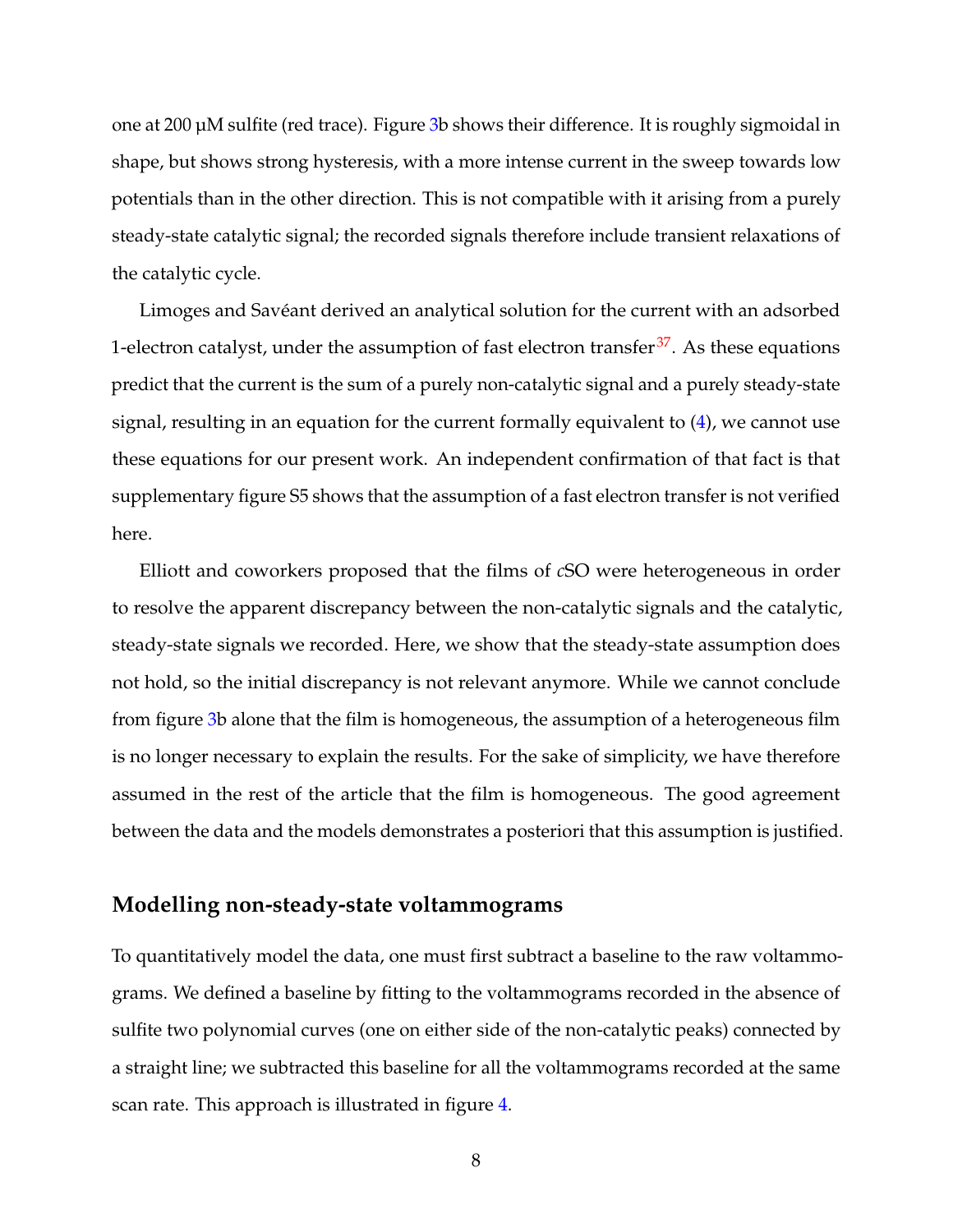one at 200 µM sulfite (red trace). Figure 3b shows their difference. It is roughly sigmoidal in shape, but shows strong hysteresis, with a more intense current in the sweep towards low potentials than in the other direction. This is not compatible with it arising from a purely steady-state catalytic signal; the recorded signals therefore include transient relaxations of the catalytic cycle.

Limoges and Savéant derived an analytical solution for the current with an adsorbed 1-electron catalyst, under the assumption of fast electron transfer<sup>37</sup>. As these equations predict that the current is the sum of a purely non-catalytic signal and a purely steady-state signal, resulting in an equation for the current formally equivalent to (4), we cannot use these equations for our present work. An independent confirmation of that fact is that supplementary figure S5 shows that the assumption of a fast electron transfer is not verified here.

Elliott and coworkers proposed that the films of *c*SO were heterogeneous in order to resolve the apparent discrepancy between the non-catalytic signals and the catalytic, steady-state signals we recorded. Here, we show that the steady-state assumption does not hold, so the initial discrepancy is not relevant anymore. While we cannot conclude from figure 3b alone that the film is homogeneous, the assumption of a heterogeneous film is no longer necessary to explain the results. For the sake of simplicity, we have therefore assumed in the rest of the article that the film is homogeneous. The good agreement between the data and the models demonstrates a posteriori that this assumption is justified.

#### **Modelling non-steady-state voltammograms**

To quantitatively model the data, one must first subtract a baseline to the raw voltammograms. We defined a baseline by fitting to the voltammograms recorded in the absence of sulfite two polynomial curves (one on either side of the non-catalytic peaks) connected by a straight line; we subtracted this baseline for all the voltammograms recorded at the same scan rate. This approach is illustrated in figure 4.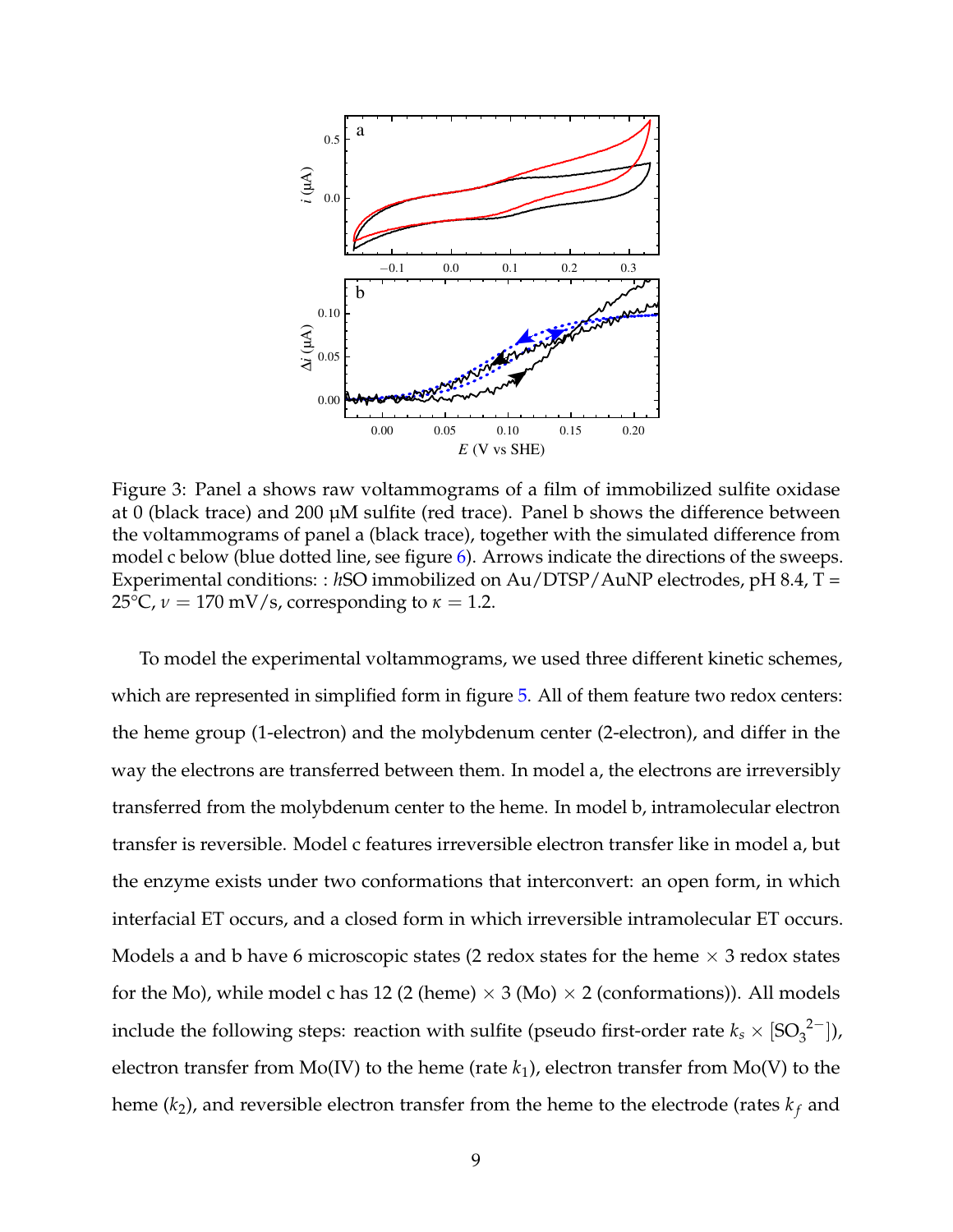

Figure 3: Panel a shows raw voltammograms of a film of immobilized sulfite oxidase at 0 (black trace) and 200 µM sulfite (red trace). Panel b shows the difference between the voltammograms of panel a (black trace), together with the simulated difference from model c below (blue dotted line, see figure 6). Arrows indicate the directions of the sweeps. Experimental conditions: : *h*SO immobilized on Au/DTSP/AuNP electrodes, pH 8.4, T = 25 $^{\circ}$ C,  $\nu = 170$  mV/s, corresponding to  $\kappa = 1.2$ .

To model the experimental voltammograms, we used three different kinetic schemes, which are represented in simplified form in figure 5. All of them feature two redox centers: the heme group (1-electron) and the molybdenum center (2-electron), and differ in the way the electrons are transferred between them. In model a, the electrons are irreversibly transferred from the molybdenum center to the heme. In model b, intramolecular electron transfer is reversible. Model c features irreversible electron transfer like in model a, but the enzyme exists under two conformations that interconvert: an open form, in which interfacial ET occurs, and a closed form in which irreversible intramolecular ET occurs. Models a and b have 6 microscopic states (2 redox states for the heme  $\times$  3 redox states for the Mo), while model c has 12 (2 (heme)  $\times$  3 (Mo)  $\times$  2 (conformations)). All models include the following steps: reaction with sulfite (pseudo first-order rate  $k_s \times [\mathrm{SO}_3^{-2-}])$ , electron transfer from  $Mo(IV)$  to the heme (rate  $k_1$ ), electron transfer from  $Mo(V)$  to the heme  $(k_2)$ , and reversible electron transfer from the heme to the electrode (rates  $k_f$  and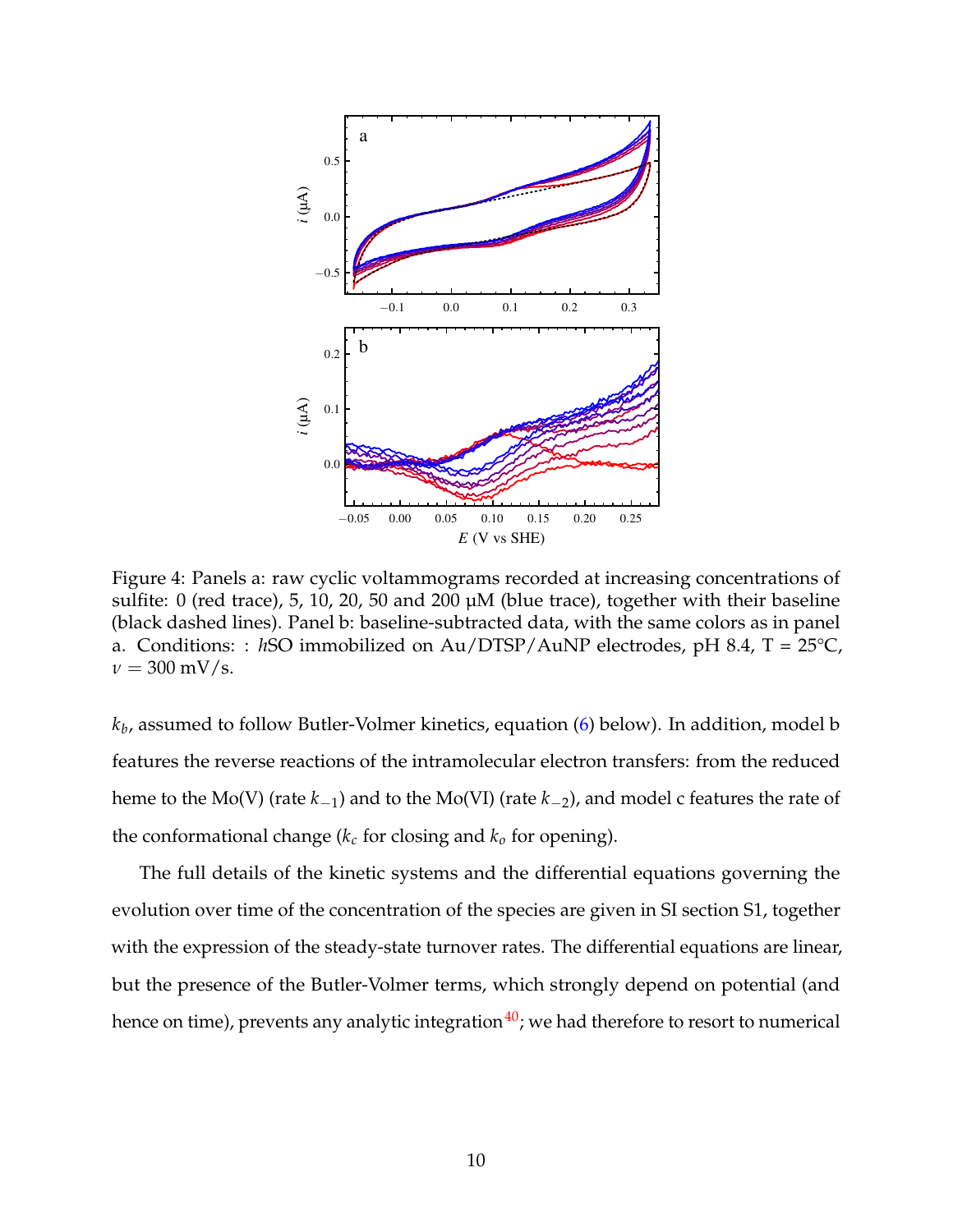

Figure 4: Panels a: raw cyclic voltammograms recorded at increasing concentrations of sulfite: 0 (red trace), 5, 10, 20, 50 and 200 µM (blue trace), together with their baseline (black dashed lines). Panel b: baseline-subtracted data, with the same colors as in panel a. Conditions: : *h*SO immobilized on Au/DTSP/AuNP electrodes, pH 8.4, T = 25°C,  $\nu = 300$  mV/s.

*kb* , assumed to follow Butler-Volmer kinetics, equation (6) below). In addition, model b features the reverse reactions of the intramolecular electron transfers: from the reduced heme to the Mo(V) (rate *k*−1) and to the Mo(VI) (rate *k*−2), and model c features the rate of the conformational change (*k<sup>c</sup>* for closing and *k<sup>o</sup>* for opening).

The full details of the kinetic systems and the differential equations governing the evolution over time of the concentration of the species are given in SI section S1, together with the expression of the steady-state turnover rates. The differential equations are linear, but the presence of the Butler-Volmer terms, which strongly depend on potential (and hence on time), prevents any analytic integration  $40$ ; we had therefore to resort to numerical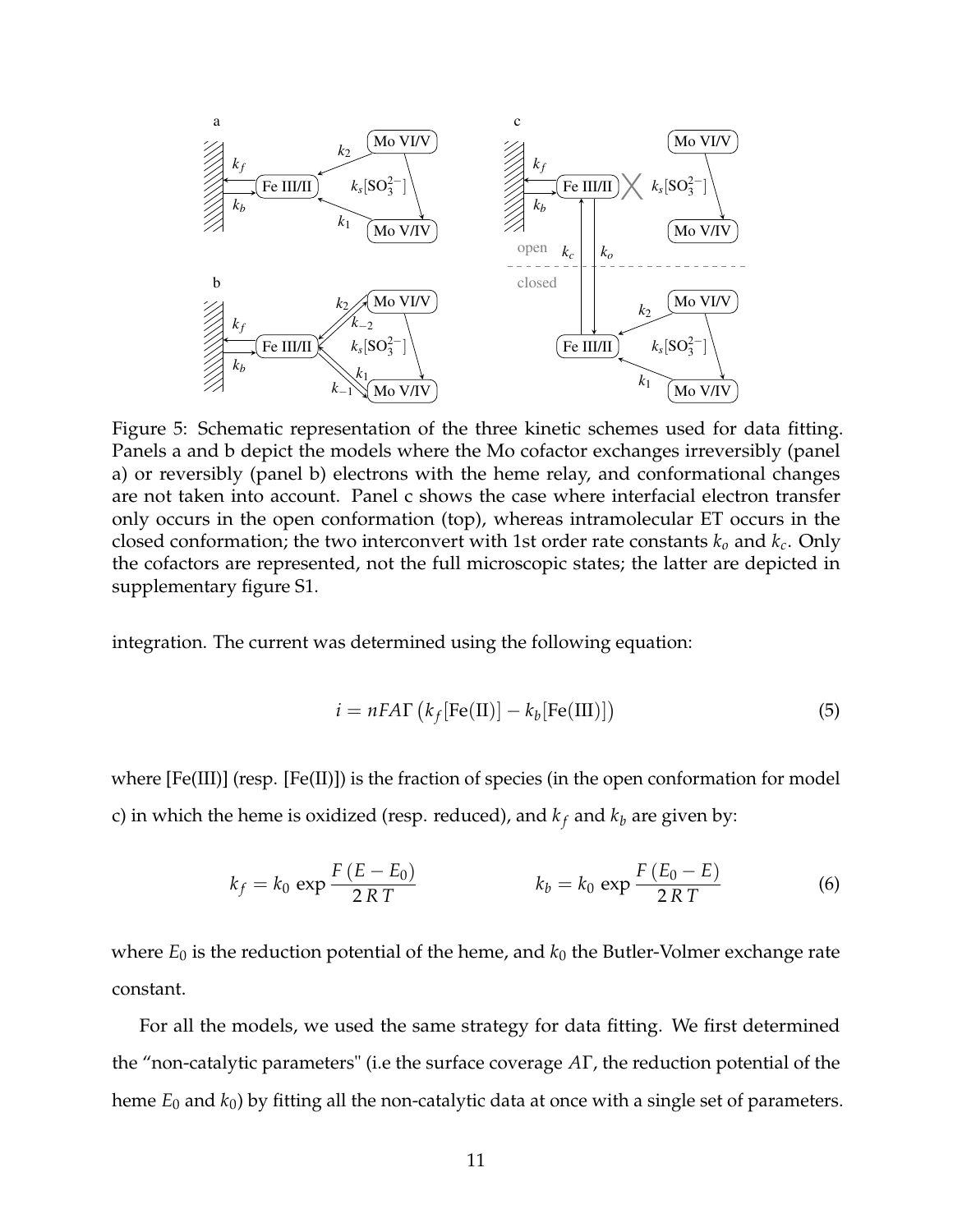

Figure 5: Schematic representation of the three kinetic schemes used for data fitting. Panels a and b depict the models where the Mo cofactor exchanges irreversibly (panel a) or reversibly (panel b) electrons with the heme relay, and conformational changes are not taken into account. Panel c shows the case where interfacial electron transfer only occurs in the open conformation (top), whereas intramolecular ET occurs in the closed conformation; the two interconvert with 1st order rate constants  $k_o$  and  $k_c$ . Only the cofactors are represented, not the full microscopic states; the latter are depicted in supplementary figure S1.

integration. The current was determined using the following equation:

$$
i = nFA\Gamma \left( k_f[\text{Fe(II)}] - k_b[\text{Fe(III)}] \right)
$$
\n(5)

where [Fe(III)] (resp. [Fe(II)]) is the fraction of species (in the open conformation for model c) in which the heme is oxidized (resp. reduced), and  $k_f$  and  $k_b$  are given by:

$$
k_f = k_0 \exp \frac{F(E - E_0)}{2RT} \qquad \qquad k_b = k_0 \exp \frac{F(E_0 - E)}{2RT} \tag{6}
$$

where  $E_0$  is the reduction potential of the heme, and  $k_0$  the Butler-Volmer exchange rate constant.

For all the models, we used the same strategy for data fitting. We first determined the "non-catalytic parameters" (i.e the surface coverage *A*Γ, the reduction potential of the heme *E*<sup>0</sup> and *k*0) by fitting all the non-catalytic data at once with a single set of parameters.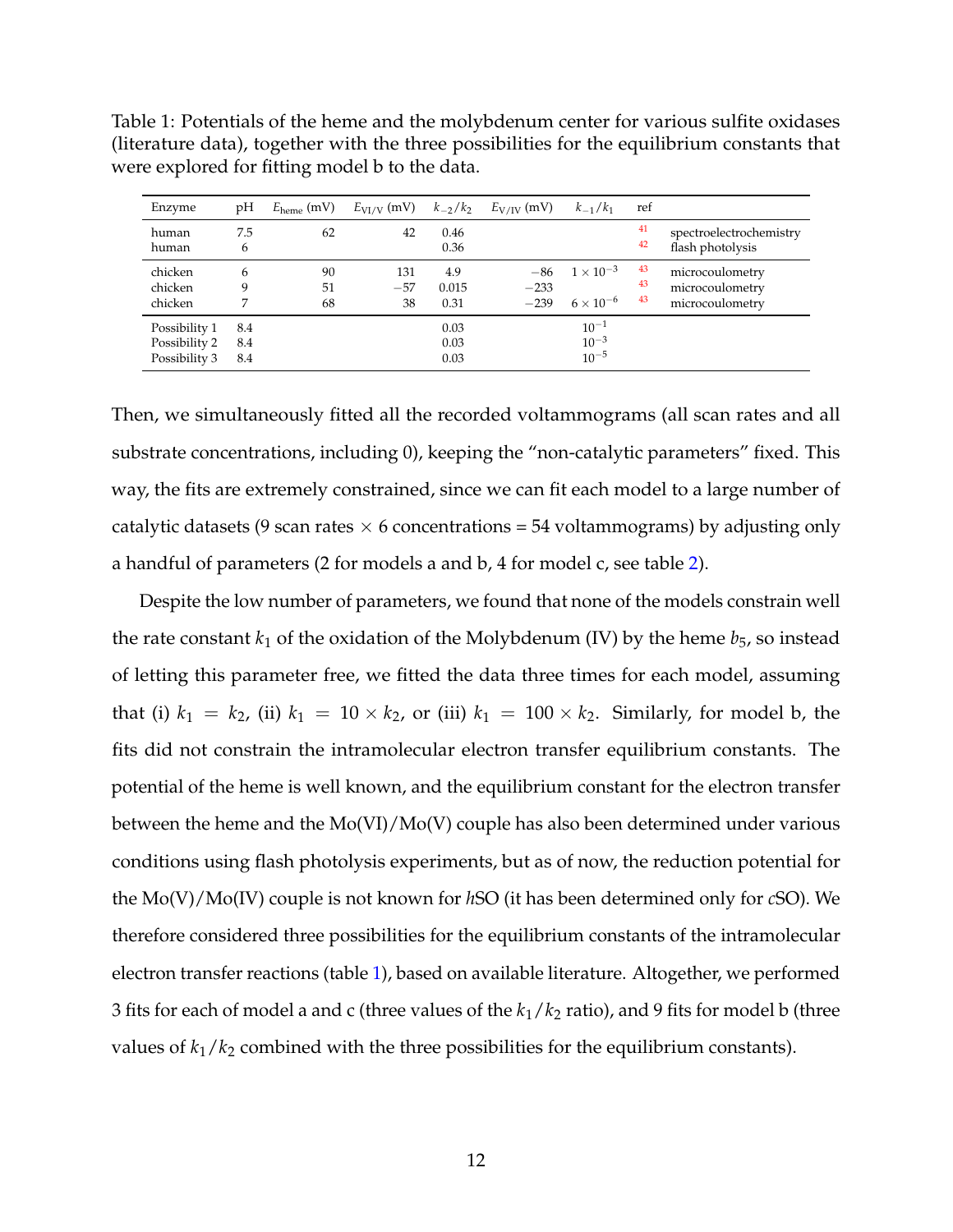Table 1: Potentials of the heme and the molybdenum center for various sulfite oxidases (literature data), together with the three possibilities for the equilibrium constants that were explored for fitting model b to the data.

| Enzyme                                          | pH                | $E_{\text{heme}}$ (mV) | $E_{\rm VUV}$ (mV) | $k_{-2}/k_2$         | $E_{V/IV}$ (mV)           | $k_{-1}/k_1$                             | ref            |                                                       |
|-------------------------------------------------|-------------------|------------------------|--------------------|----------------------|---------------------------|------------------------------------------|----------------|-------------------------------------------------------|
| human<br>human                                  | 7.5<br>6          | 62                     | 42                 | 0.46<br>0.36         |                           |                                          | 41<br>42       | spectroelectrochemistry<br>flash photolysis           |
| chicken<br>chicken<br>chicken                   | 6<br>9            | 90<br>51<br>68         | 131<br>$-57$<br>38 | 4.9<br>0.015<br>0.31 | $-86$<br>$-233$<br>$-239$ | $1 \times 10^{-3}$<br>$6 \times 10^{-6}$ | 43<br>43<br>43 | microcoulometry<br>microcoulometry<br>microcoulometry |
| Possibility 1<br>Possibility 2<br>Possibility 3 | 8.4<br>8.4<br>8.4 |                        |                    | 0.03<br>0.03<br>0.03 |                           | $10^{-1}$<br>$10^{-3}$<br>$10^{-5}$      |                |                                                       |

Then, we simultaneously fitted all the recorded voltammograms (all scan rates and all substrate concentrations, including 0), keeping the "non-catalytic parameters" fixed. This way, the fits are extremely constrained, since we can fit each model to a large number of catalytic datasets (9 scan rates  $\times$  6 concentrations = 54 voltammograms) by adjusting only a handful of parameters (2 for models a and b, 4 for model c, see table 2).

Despite the low number of parameters, we found that none of the models constrain well the rate constant  $k_1$  of the oxidation of the Molybdenum (IV) by the heme  $b_5$ , so instead of letting this parameter free, we fitted the data three times for each model, assuming that (i)  $k_1 = k_2$ , (ii)  $k_1 = 10 \times k_2$ , or (iii)  $k_1 = 100 \times k_2$ . Similarly, for model b, the fits did not constrain the intramolecular electron transfer equilibrium constants. The potential of the heme is well known, and the equilibrium constant for the electron transfer between the heme and the Mo(VI)/Mo(V) couple has also been determined under various conditions using flash photolysis experiments, but as of now, the reduction potential for the Mo(V)/Mo(IV) couple is not known for *h*SO (it has been determined only for *c*SO). We therefore considered three possibilities for the equilibrium constants of the intramolecular electron transfer reactions (table 1), based on available literature. Altogether, we performed 3 fits for each of model a and c (three values of the *k*1/*k*<sup>2</sup> ratio), and 9 fits for model b (three values of  $k_1/k_2$  combined with the three possibilities for the equilibrium constants).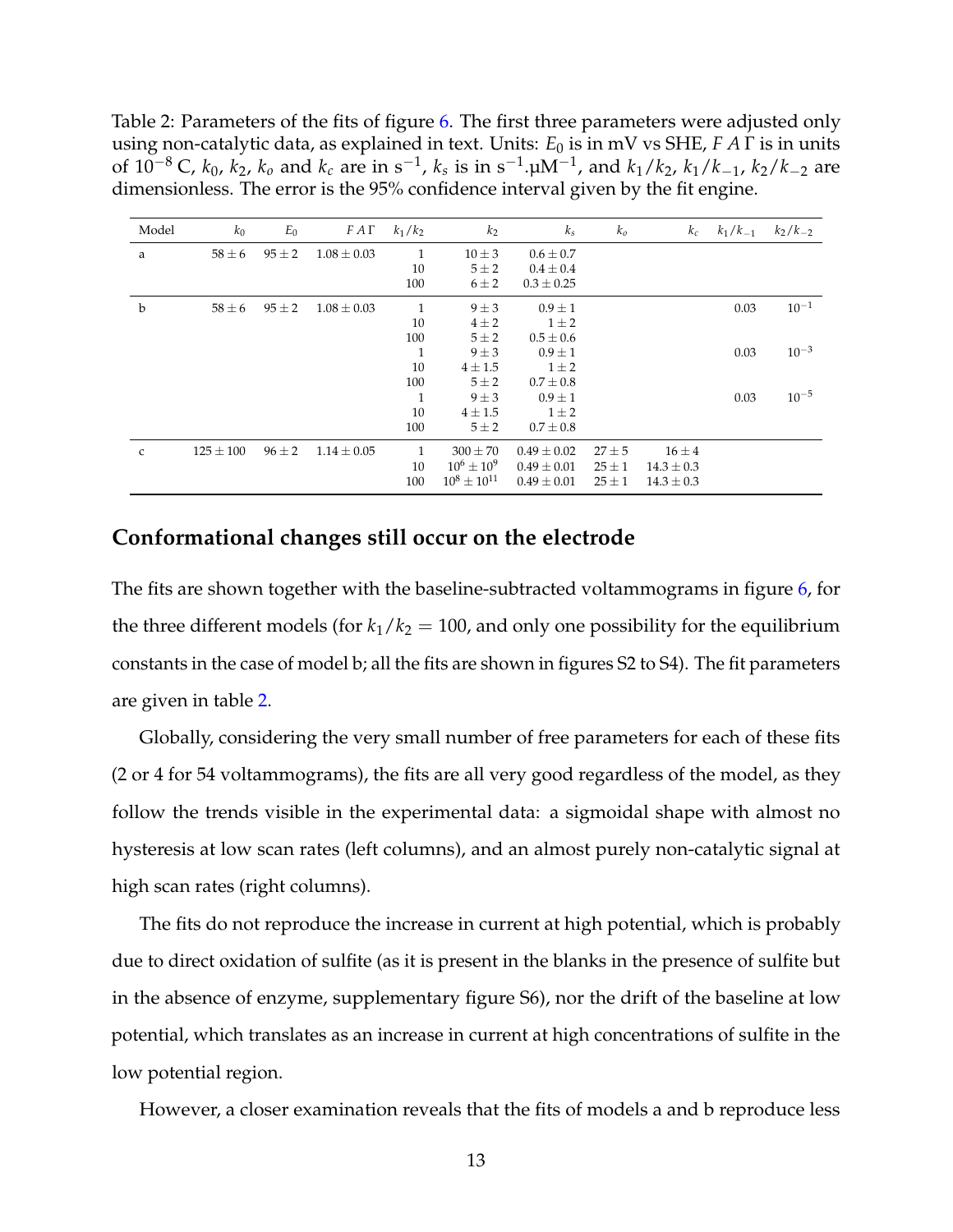Table 2: Parameters of the fits of figure 6. The first three parameters were adjusted only using non-catalytic data, as explained in text. Units: *E*<sup>0</sup> is in mV vs SHE, *F A* Γ is in units of  $10^{-8}$  C,  $k_0$ ,  $k_2$ ,  $k_0$  and  $k_c$  are in s<sup>−1</sup>,  $k_s$  is in s<sup>−1</sup>.µM<sup>−1</sup>, and  $k_1/k_2$ ,  $k_1/k_{-1}$ ,  $k_2/k_{-2}$  are dimensionless. The error is the 95% confidence interval given by the fit engine.

| $10^{-1}$<br>0.03 |
|-------------------|
|                   |
|                   |
| $10^{-3}$<br>0.03 |
|                   |
|                   |
| $10^{-5}$<br>0.03 |
|                   |
|                   |
|                   |
|                   |
|                   |
|                   |

#### **Conformational changes still occur on the electrode**

The fits are shown together with the baseline-subtracted voltammograms in figure 6, for the three different models (for  $k_1/k_2 = 100$ , and only one possibility for the equilibrium constants in the case of model b; all the fits are shown in figures S2 to S4). The fit parameters are given in table 2.

Globally, considering the very small number of free parameters for each of these fits (2 or 4 for 54 voltammograms), the fits are all very good regardless of the model, as they follow the trends visible in the experimental data: a sigmoidal shape with almost no hysteresis at low scan rates (left columns), and an almost purely non-catalytic signal at high scan rates (right columns).

The fits do not reproduce the increase in current at high potential, which is probably due to direct oxidation of sulfite (as it is present in the blanks in the presence of sulfite but in the absence of enzyme, supplementary figure S6), nor the drift of the baseline at low potential, which translates as an increase in current at high concentrations of sulfite in the low potential region.

However, a closer examination reveals that the fits of models a and b reproduce less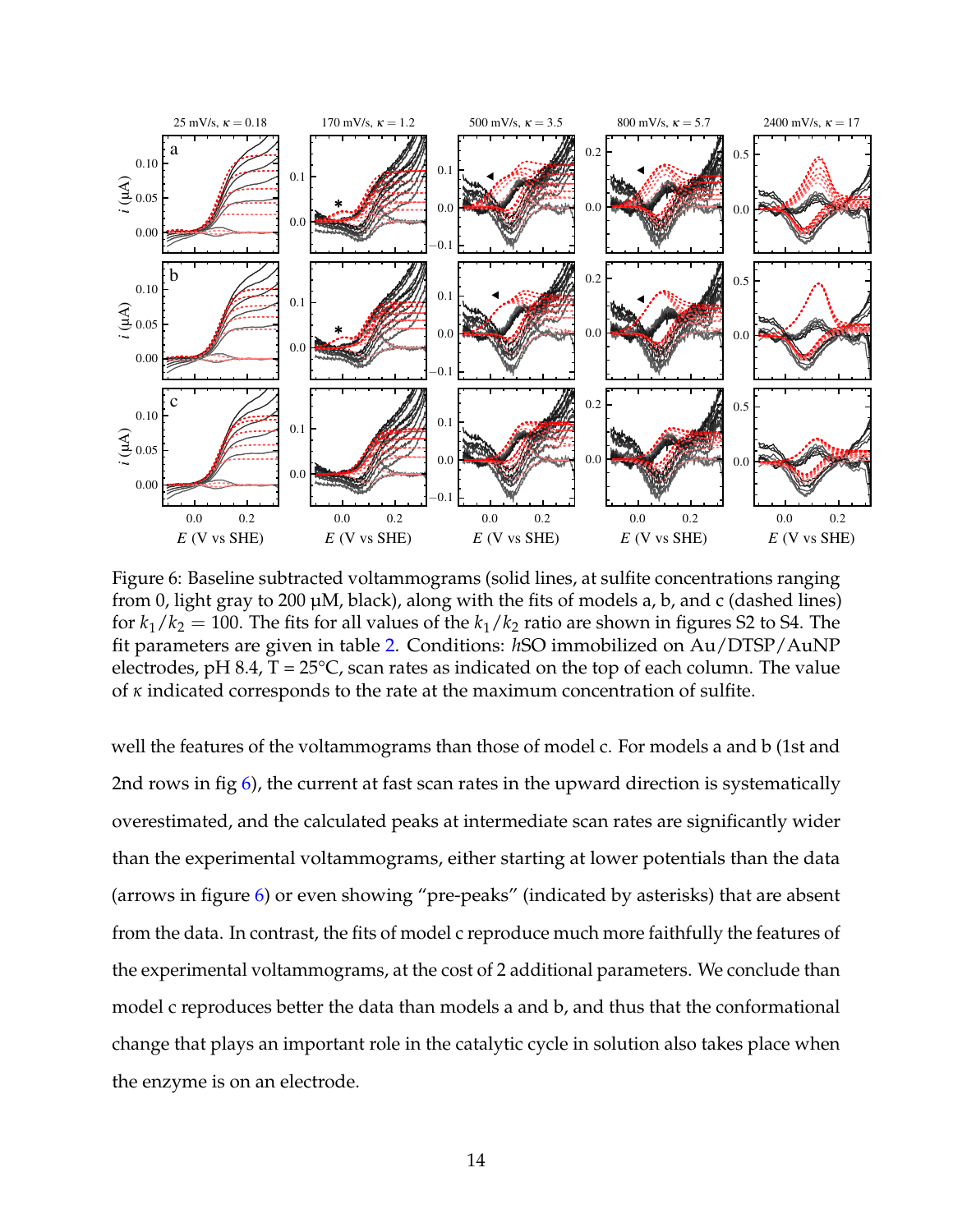

Figure 6: Baseline subtracted voltammograms (solid lines, at sulfite concentrations ranging from 0, light gray to 200 µM, black), along with the fits of models a, b, and c (dashed lines) for  $k_1/k_2 = 100$ . The fits for all values of the  $k_1/k_2$  ratio are shown in figures S2 to S4. The fit parameters are given in table 2. Conditions: *h*SO immobilized on Au/DTSP/AuNP electrodes, pH 8.4,  $T = 25^{\circ}C$ , scan rates as indicated on the top of each column. The value of *κ* indicated corresponds to the rate at the maximum concentration of sulfite.

well the features of the voltammograms than those of model c. For models a and b (1st and 2nd rows in fig  $6$ ), the current at fast scan rates in the upward direction is systematically overestimated, and the calculated peaks at intermediate scan rates are significantly wider than the experimental voltammograms, either starting at lower potentials than the data (arrows in figure 6) or even showing "pre-peaks" (indicated by asterisks) that are absent from the data. In contrast, the fits of model c reproduce much more faithfully the features of the experimental voltammograms, at the cost of 2 additional parameters. We conclude than model c reproduces better the data than models a and b, and thus that the conformational change that plays an important role in the catalytic cycle in solution also takes place when the enzyme is on an electrode.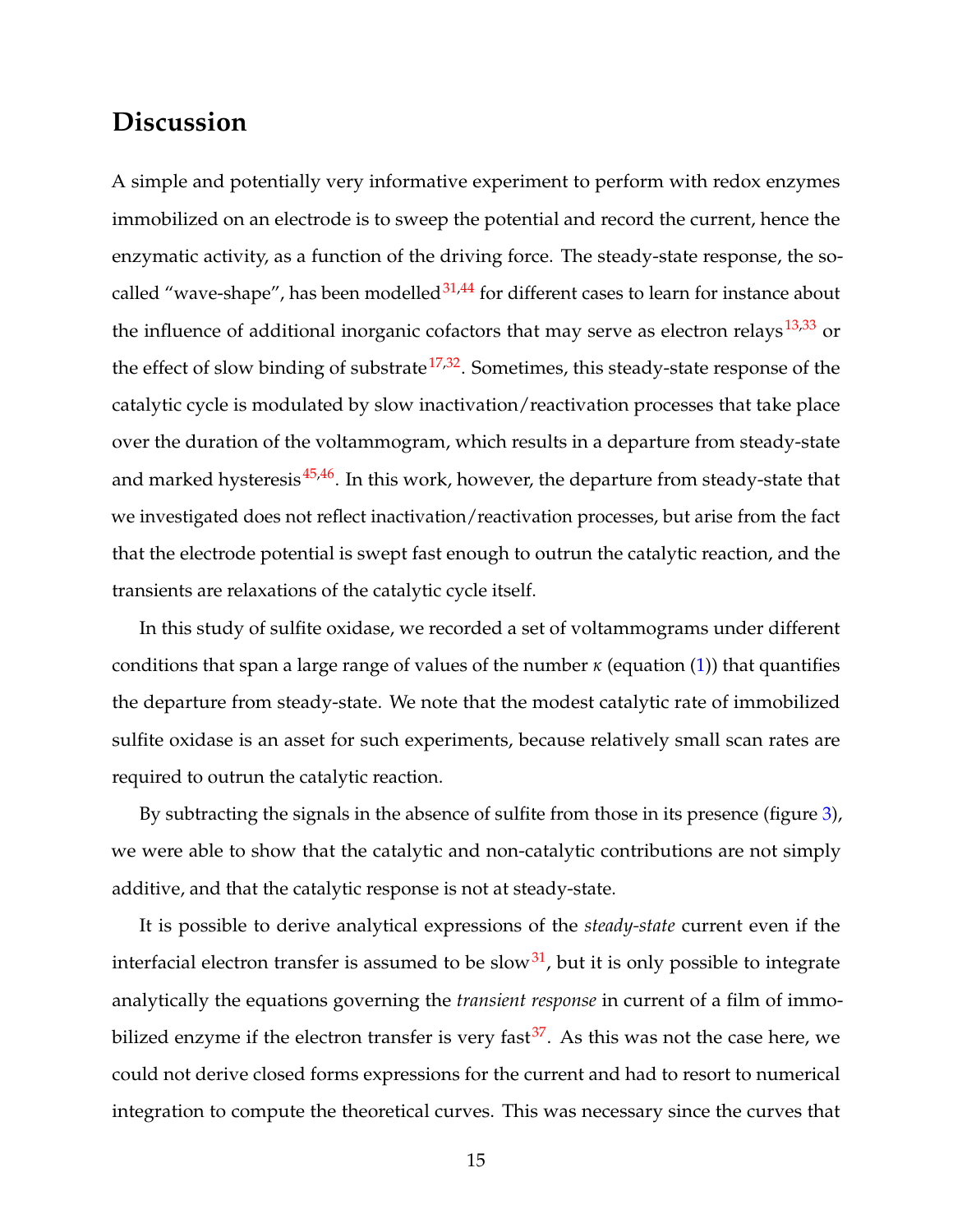### **Discussion**

A simple and potentially very informative experiment to perform with redox enzymes immobilized on an electrode is to sweep the potential and record the current, hence the enzymatic activity, as a function of the driving force. The steady-state response, the socalled "wave-shape", has been modelled  $31,44$  for different cases to learn for instance about the influence of additional inorganic cofactors that may serve as electron relays<sup>13,33</sup> or the effect of slow binding of substrate  $17,32$ . Sometimes, this steady-state response of the catalytic cycle is modulated by slow inactivation/reactivation processes that take place over the duration of the voltammogram, which results in a departure from steady-state and marked hysteresis $45,46$ . In this work, however, the departure from steady-state that we investigated does not reflect inactivation/reactivation processes, but arise from the fact that the electrode potential is swept fast enough to outrun the catalytic reaction, and the transients are relaxations of the catalytic cycle itself.

In this study of sulfite oxidase, we recorded a set of voltammograms under different conditions that span a large range of values of the number *κ* (equation (1)) that quantifies the departure from steady-state. We note that the modest catalytic rate of immobilized sulfite oxidase is an asset for such experiments, because relatively small scan rates are required to outrun the catalytic reaction.

By subtracting the signals in the absence of sulfite from those in its presence (figure 3), we were able to show that the catalytic and non-catalytic contributions are not simply additive, and that the catalytic response is not at steady-state.

It is possible to derive analytical expressions of the *steady-state* current even if the interfacial electron transfer is assumed to be slow $31$ , but it is only possible to integrate analytically the equations governing the *transient response* in current of a film of immobilized enzyme if the electron transfer is very fast<sup>37</sup>. As this was not the case here, we could not derive closed forms expressions for the current and had to resort to numerical integration to compute the theoretical curves. This was necessary since the curves that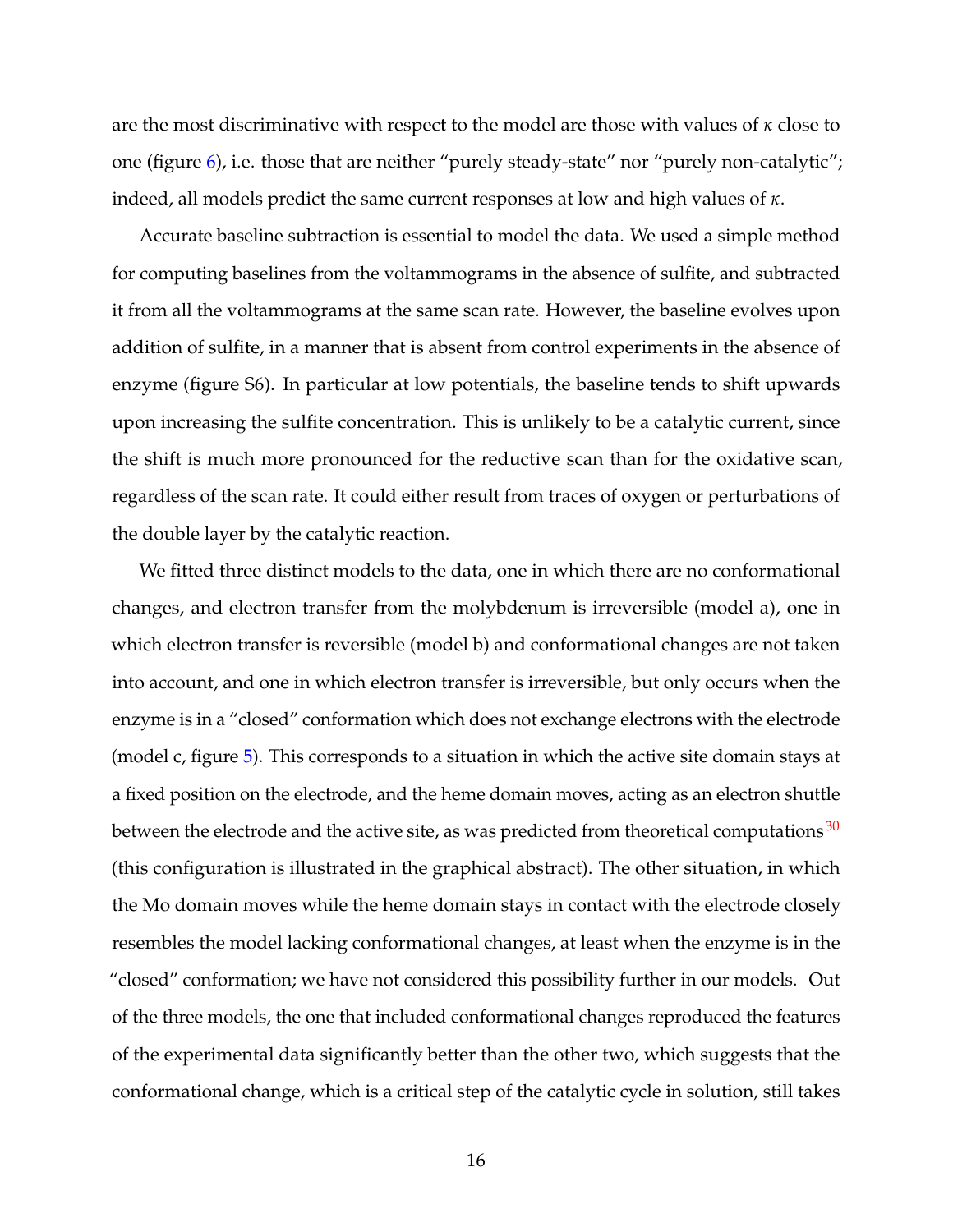are the most discriminative with respect to the model are those with values of *κ* close to one (figure 6), i.e. those that are neither "purely steady-state" nor "purely non-catalytic"; indeed, all models predict the same current responses at low and high values of *κ*.

Accurate baseline subtraction is essential to model the data. We used a simple method for computing baselines from the voltammograms in the absence of sulfite, and subtracted it from all the voltammograms at the same scan rate. However, the baseline evolves upon addition of sulfite, in a manner that is absent from control experiments in the absence of enzyme (figure S6). In particular at low potentials, the baseline tends to shift upwards upon increasing the sulfite concentration. This is unlikely to be a catalytic current, since the shift is much more pronounced for the reductive scan than for the oxidative scan, regardless of the scan rate. It could either result from traces of oxygen or perturbations of the double layer by the catalytic reaction.

We fitted three distinct models to the data, one in which there are no conformational changes, and electron transfer from the molybdenum is irreversible (model a), one in which electron transfer is reversible (model b) and conformational changes are not taken into account, and one in which electron transfer is irreversible, but only occurs when the enzyme is in a "closed" conformation which does not exchange electrons with the electrode (model c, figure 5). This corresponds to a situation in which the active site domain stays at a fixed position on the electrode, and the heme domain moves, acting as an electron shuttle between the electrode and the active site, as was predicted from theoretical computations<sup>30</sup> (this configuration is illustrated in the graphical abstract). The other situation, in which the Mo domain moves while the heme domain stays in contact with the electrode closely resembles the model lacking conformational changes, at least when the enzyme is in the "closed" conformation; we have not considered this possibility further in our models. Out of the three models, the one that included conformational changes reproduced the features of the experimental data significantly better than the other two, which suggests that the conformational change, which is a critical step of the catalytic cycle in solution, still takes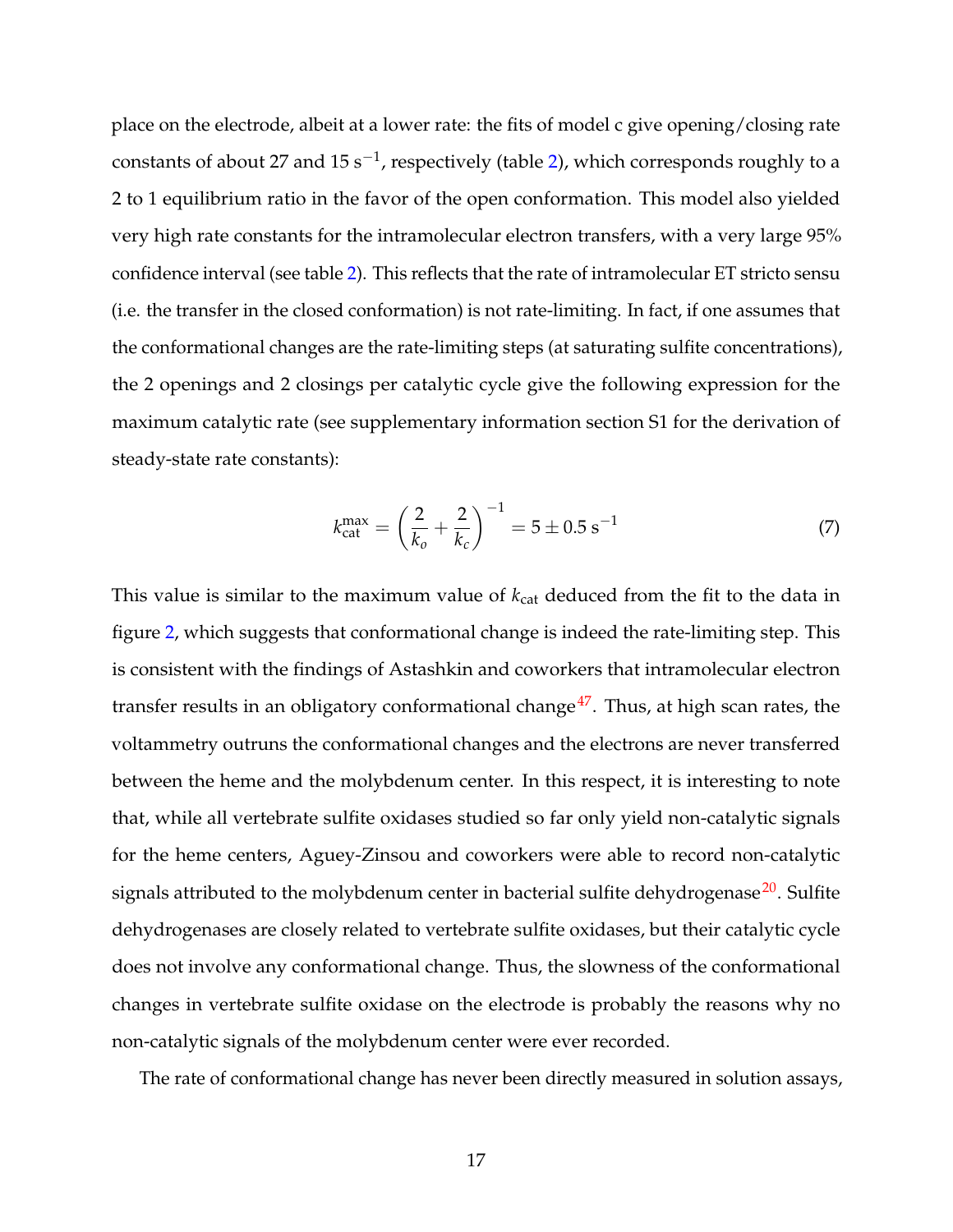place on the electrode, albeit at a lower rate: the fits of model c give opening/closing rate constants of about 27 and 15 s $^{-1}$ , respectively (table 2), which corresponds roughly to a 2 to 1 equilibrium ratio in the favor of the open conformation. This model also yielded very high rate constants for the intramolecular electron transfers, with a very large 95% confidence interval (see table 2). This reflects that the rate of intramolecular ET stricto sensu (i.e. the transfer in the closed conformation) is not rate-limiting. In fact, if one assumes that the conformational changes are the rate-limiting steps (at saturating sulfite concentrations), the 2 openings and 2 closings per catalytic cycle give the following expression for the maximum catalytic rate (see supplementary information section S1 for the derivation of steady-state rate constants):

$$
k_{\text{cat}}^{\text{max}} = \left(\frac{2}{k_o} + \frac{2}{k_c}\right)^{-1} = 5 \pm 0.5 \,\text{s}^{-1} \tag{7}
$$

This value is similar to the maximum value of  $k_{cat}$  deduced from the fit to the data in figure 2, which suggests that conformational change is indeed the rate-limiting step. This is consistent with the findings of Astashkin and coworkers that intramolecular electron transfer results in an obligatory conformational change<sup>47</sup>. Thus, at high scan rates, the voltammetry outruns the conformational changes and the electrons are never transferred between the heme and the molybdenum center. In this respect, it is interesting to note that, while all vertebrate sulfite oxidases studied so far only yield non-catalytic signals for the heme centers, Aguey-Zinsou and coworkers were able to record non-catalytic signals attributed to the molybdenum center in bacterial sulfite dehydrogenase<sup>20</sup>. Sulfite dehydrogenases are closely related to vertebrate sulfite oxidases, but their catalytic cycle does not involve any conformational change. Thus, the slowness of the conformational changes in vertebrate sulfite oxidase on the electrode is probably the reasons why no non-catalytic signals of the molybdenum center were ever recorded.

The rate of conformational change has never been directly measured in solution assays,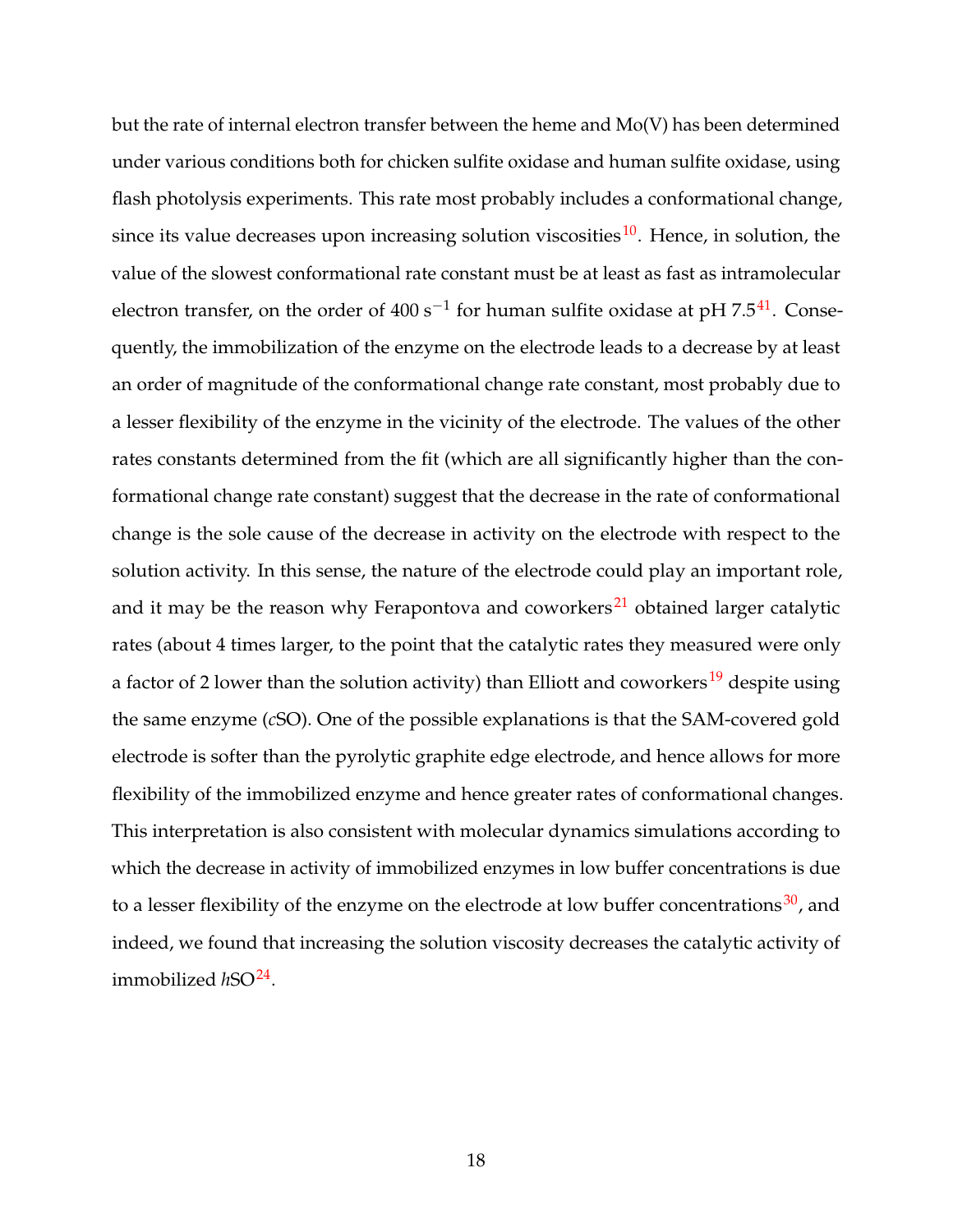but the rate of internal electron transfer between the heme and Mo(V) has been determined under various conditions both for chicken sulfite oxidase and human sulfite oxidase, using flash photolysis experiments. This rate most probably includes a conformational change, since its value decreases upon increasing solution viscosities<sup>10</sup>. Hence, in solution, the value of the slowest conformational rate constant must be at least as fast as intramolecular electron transfer, on the order of 400 s $^{-1}$  for human sulfite oxidase at pH 7.5 $^{41}$ . Consequently, the immobilization of the enzyme on the electrode leads to a decrease by at least an order of magnitude of the conformational change rate constant, most probably due to a lesser flexibility of the enzyme in the vicinity of the electrode. The values of the other rates constants determined from the fit (which are all significantly higher than the conformational change rate constant) suggest that the decrease in the rate of conformational change is the sole cause of the decrease in activity on the electrode with respect to the solution activity. In this sense, the nature of the electrode could play an important role, and it may be the reason why Ferapontova and coworkers<sup>21</sup> obtained larger catalytic rates (about 4 times larger, to the point that the catalytic rates they measured were only a factor of 2 lower than the solution activity) than Elliott and coworkers<sup>19</sup> despite using the same enzyme (*c*SO). One of the possible explanations is that the SAM-covered gold electrode is softer than the pyrolytic graphite edge electrode, and hence allows for more flexibility of the immobilized enzyme and hence greater rates of conformational changes. This interpretation is also consistent with molecular dynamics simulations according to which the decrease in activity of immobilized enzymes in low buffer concentrations is due to a lesser flexibility of the enzyme on the electrode at low buffer concentrations<sup>30</sup>, and indeed, we found that increasing the solution viscosity decreases the catalytic activity of immobilized *h*SO<sup>24</sup>.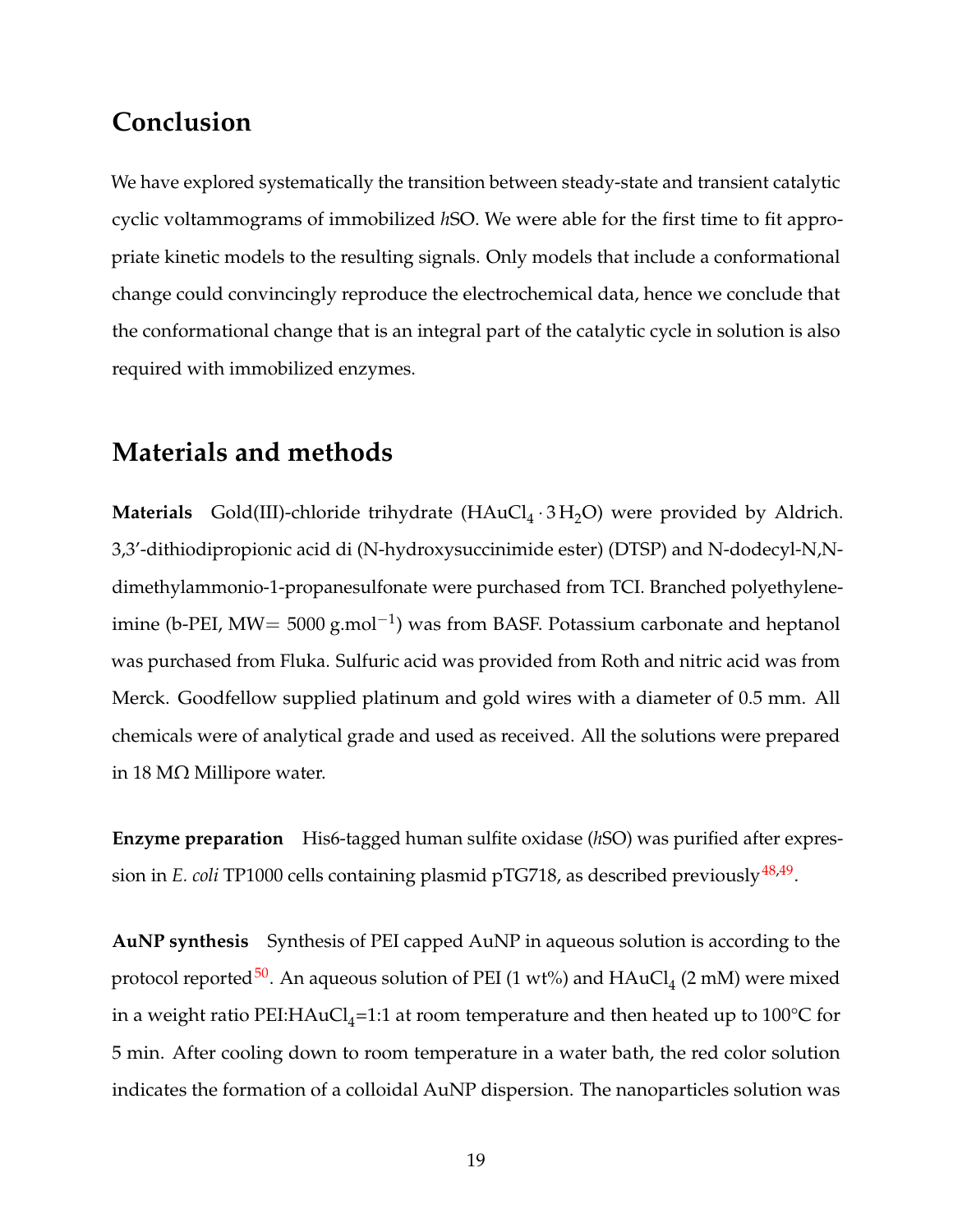### **Conclusion**

We have explored systematically the transition between steady-state and transient catalytic cyclic voltammograms of immobilized *h*SO. We were able for the first time to fit appropriate kinetic models to the resulting signals. Only models that include a conformational change could convincingly reproduce the electrochemical data, hence we conclude that the conformational change that is an integral part of the catalytic cycle in solution is also required with immobilized enzymes.

### **Materials and methods**

**Materials**  $\text{Gold(III)}$ -chloride trihydrate  $(\text{HAuCl}_4 \cdot 3 \text{H}_2\text{O})$  were provided by Aldrich. 3,3'-dithiodipropionic acid di (N-hydroxysuccinimide ester) (DTSP) and N-dodecyl-N,Ndimethylammonio-1-propanesulfonate were purchased from TCI. Branched polyethyleneimine (b-PEI, MW $=5000$  g.mol $^{-1}$ ) was from BASF. Potassium carbonate and heptanol was purchased from Fluka. Sulfuric acid was provided from Roth and nitric acid was from Merck. Goodfellow supplied platinum and gold wires with a diameter of 0.5 mm. All chemicals were of analytical grade and used as received. All the solutions were prepared in 18 MΩ Millipore water.

**Enzyme preparation** His6-tagged human sulfite oxidase (*h*SO) was purified after expression in *E. coli* TP1000 cells containing plasmid pTG718, as described previously $^{48,49}$ .

**AuNP synthesis** Synthesis of PEI capped AuNP in aqueous solution is according to the protocol reported  $50$ . An aqueous solution of PEI (1 wt%) and  $\text{HAuCl}_4$  (2 mM) were mixed in a weight ratio PEI:HAuCl<sub>4</sub>=1:1 at room temperature and then heated up to 100°C for 5 min. After cooling down to room temperature in a water bath, the red color solution indicates the formation of a colloidal AuNP dispersion. The nanoparticles solution was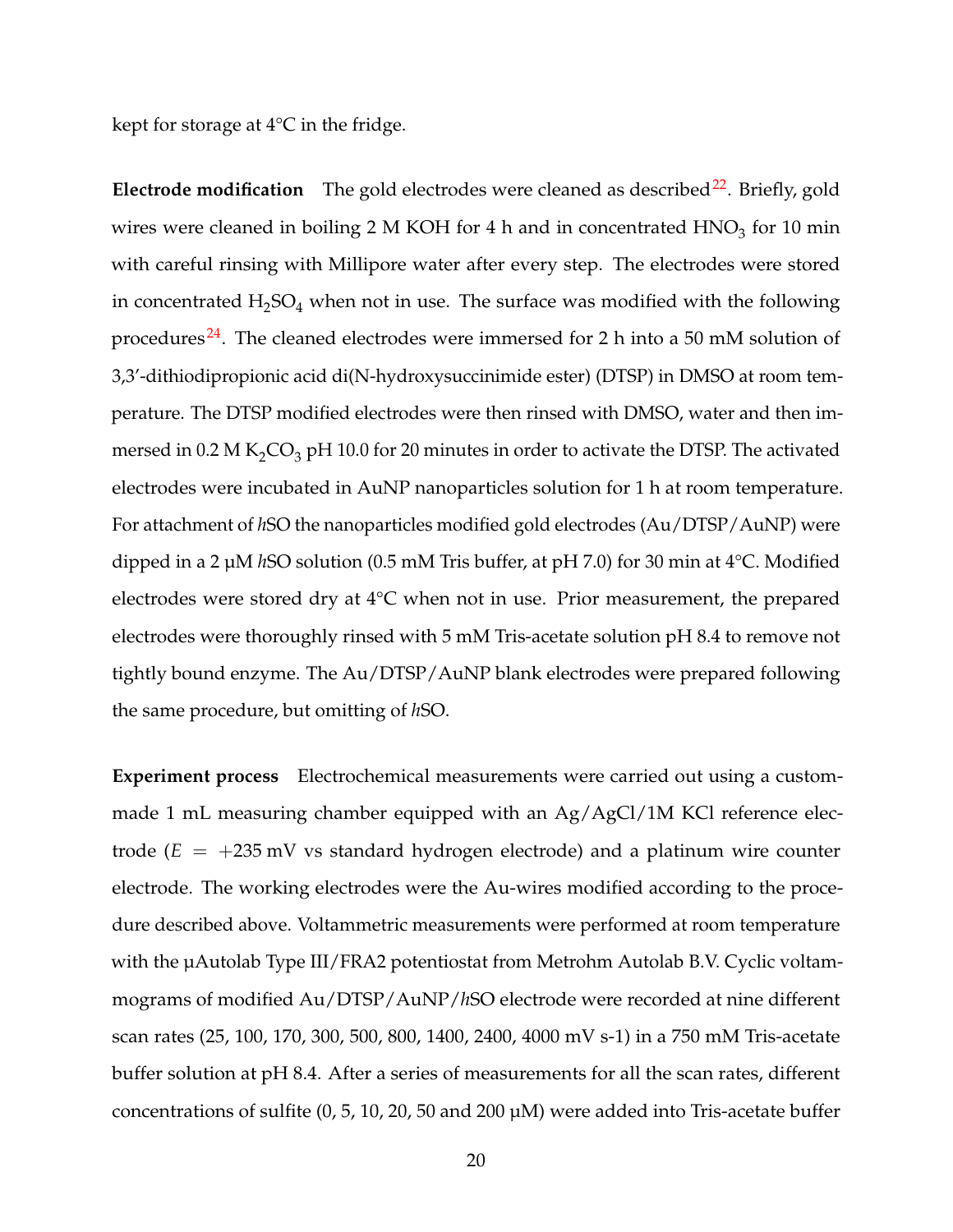kept for storage at  $4^{\circ}C$  in the fridge.

**Electrode modification** The gold electrodes were cleaned as described<sup>22</sup>. Briefly, gold wires were cleaned in boiling 2 M KOH for 4 h and in concentrated  $\rm HNO_3$  for 10 min with careful rinsing with Millipore water after every step. The electrodes were stored in concentrated  $\rm{H_2SO_4}$  when not in use. The surface was modified with the following procedures<sup>24</sup>. The cleaned electrodes were immersed for 2 h into a 50 mM solution of 3,3'-dithiodipropionic acid di(N-hydroxysuccinimide ester) (DTSP) in DMSO at room temperature. The DTSP modified electrodes were then rinsed with DMSO, water and then immersed in 0.2 M  $K_2CO_3$  pH 10.0 for 20 minutes in order to activate the DTSP. The activated electrodes were incubated in AuNP nanoparticles solution for 1 h at room temperature. For attachment of *h*SO the nanoparticles modified gold electrodes (Au/DTSP/AuNP) were dipped in a 2 µM *h*SO solution (0.5 mM Tris buffer, at pH 7.0) for 30 min at 4°C. Modified electrodes were stored dry at 4°C when not in use. Prior measurement, the prepared electrodes were thoroughly rinsed with 5 mM Tris-acetate solution pH 8.4 to remove not tightly bound enzyme. The Au/DTSP/AuNP blank electrodes were prepared following the same procedure, but omitting of *h*SO.

**Experiment process** Electrochemical measurements were carried out using a custommade 1 mL measuring chamber equipped with an Ag/AgCl/1M KCl reference electrode  $(E = +235 \text{ mV}$  vs standard hydrogen electrode) and a platinum wire counter electrode. The working electrodes were the Au-wires modified according to the procedure described above. Voltammetric measurements were performed at room temperature with the µAutolab Type III/FRA2 potentiostat from Metrohm Autolab B.V. Cyclic voltammograms of modified Au/DTSP/AuNP/*h*SO electrode were recorded at nine different scan rates (25, 100, 170, 300, 500, 800, 1400, 2400, 4000 mV s-1) in a 750 mM Tris-acetate buffer solution at pH 8.4. After a series of measurements for all the scan rates, different concentrations of sulfite (0, 5, 10, 20, 50 and 200 µM) were added into Tris-acetate buffer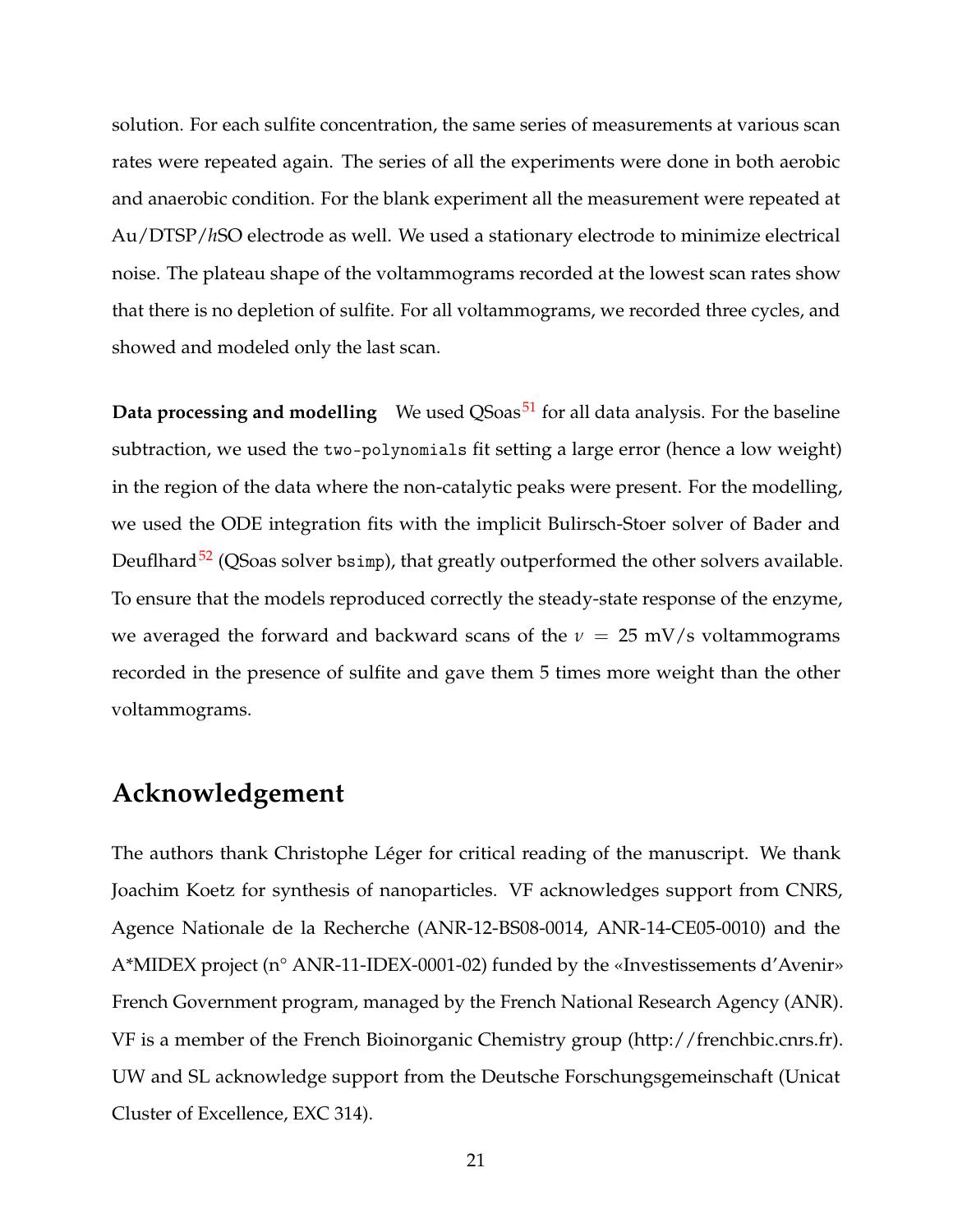solution. For each sulfite concentration, the same series of measurements at various scan rates were repeated again. The series of all the experiments were done in both aerobic and anaerobic condition. For the blank experiment all the measurement were repeated at Au/DTSP/*h*SO electrode as well. We used a stationary electrode to minimize electrical noise. The plateau shape of the voltammograms recorded at the lowest scan rates show that there is no depletion of sulfite. For all voltammograms, we recorded three cycles, and showed and modeled only the last scan.

**Data processing and modelling** We used QSoas<sup>51</sup> for all data analysis. For the baseline subtraction, we used the two-polynomials fit setting a large error (hence a low weight) in the region of the data where the non-catalytic peaks were present. For the modelling, we used the ODE integration fits with the implicit Bulirsch-Stoer solver of Bader and Deuflhard<sup>52</sup> (QSoas solver bsimp), that greatly outperformed the other solvers available. To ensure that the models reproduced correctly the steady-state response of the enzyme, we averaged the forward and backward scans of the  $\nu = 25$  mV/s voltammograms recorded in the presence of sulfite and gave them 5 times more weight than the other voltammograms.

### **Acknowledgement**

The authors thank Christophe Léger for critical reading of the manuscript. We thank Joachim Koetz for synthesis of nanoparticles. VF acknowledges support from CNRS, Agence Nationale de la Recherche (ANR-12-BS08-0014, ANR-14-CE05-0010) and the A\*MIDEX project (n° ANR-11-IDEX-0001-02) funded by the «Investissements d'Avenir» French Government program, managed by the French National Research Agency (ANR). VF is a member of the French Bioinorganic Chemistry group (http://frenchbic.cnrs.fr). UW and SL acknowledge support from the Deutsche Forschungsgemeinschaft (Unicat Cluster of Excellence, EXC 314).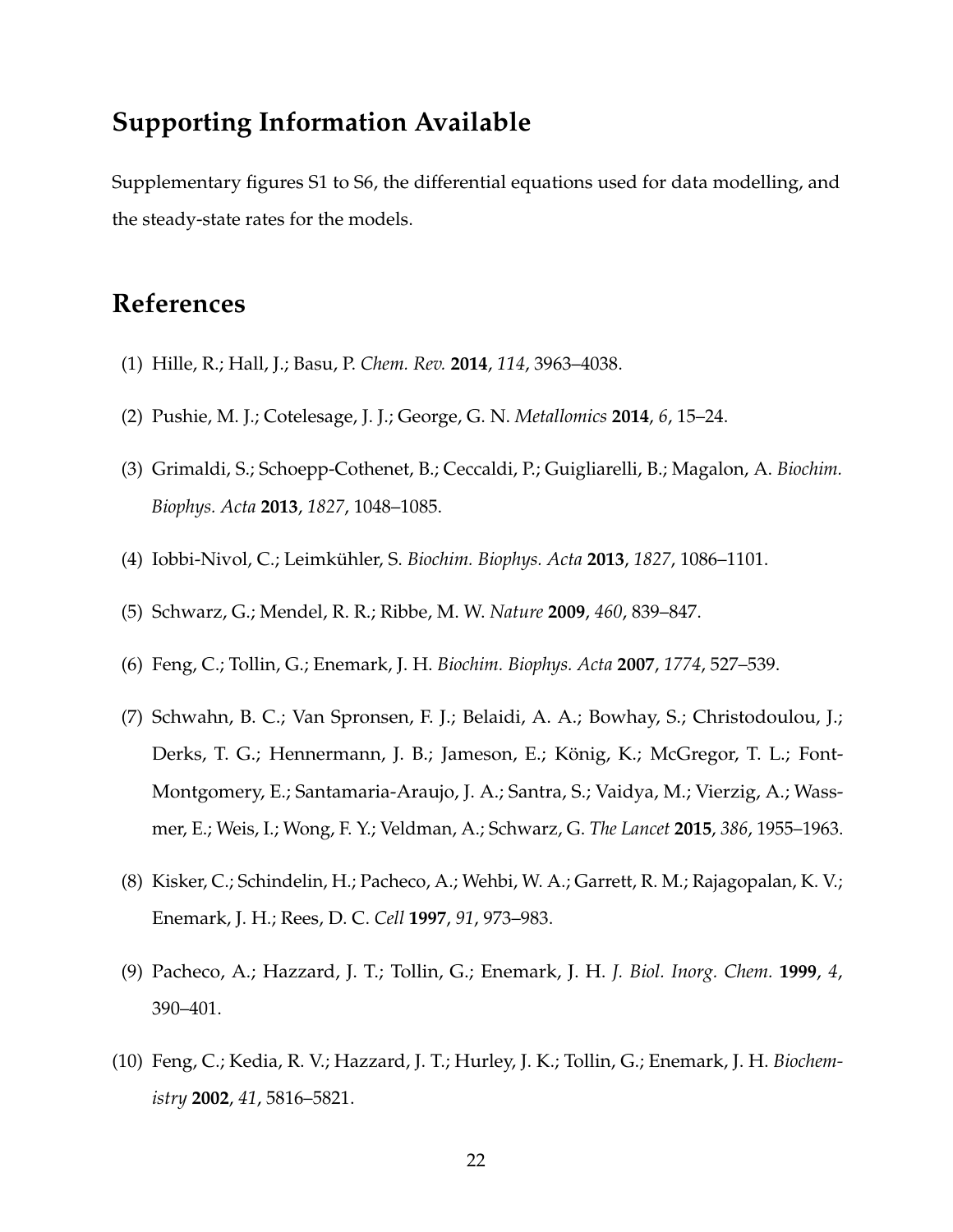### **Supporting Information Available**

Supplementary figures S1 to S6, the differential equations used for data modelling, and the steady-state rates for the models.

### **References**

- (1) Hille, R.; Hall, J.; Basu, P. *Chem. Rev.* **2014**, *114*, 3963–4038.
- (2) Pushie, M. J.; Cotelesage, J. J.; George, G. N. *Metallomics* **2014**, *6*, 15–24.
- (3) Grimaldi, S.; Schoepp-Cothenet, B.; Ceccaldi, P.; Guigliarelli, B.; Magalon, A. *Biochim. Biophys. Acta* **2013**, *1827*, 1048–1085.
- (4) Iobbi-Nivol, C.; Leimkühler, S. *Biochim. Biophys. Acta* **2013**, *1827*, 1086–1101.
- (5) Schwarz, G.; Mendel, R. R.; Ribbe, M. W. *Nature* **2009**, *460*, 839–847.
- (6) Feng, C.; Tollin, G.; Enemark, J. H. *Biochim. Biophys. Acta* **2007**, *1774*, 527–539.
- (7) Schwahn, B. C.; Van Spronsen, F. J.; Belaidi, A. A.; Bowhay, S.; Christodoulou, J.; Derks, T. G.; Hennermann, J. B.; Jameson, E.; König, K.; McGregor, T. L.; Font-Montgomery, E.; Santamaria-Araujo, J. A.; Santra, S.; Vaidya, M.; Vierzig, A.; Wassmer, E.; Weis, I.; Wong, F. Y.; Veldman, A.; Schwarz, G. *The Lancet* **2015**, *386*, 1955–1963.
- (8) Kisker, C.; Schindelin, H.; Pacheco, A.; Wehbi, W. A.; Garrett, R. M.; Rajagopalan, K. V.; Enemark, J. H.; Rees, D. C. *Cell* **1997**, *91*, 973–983.
- (9) Pacheco, A.; Hazzard, J. T.; Tollin, G.; Enemark, J. H. *J. Biol. Inorg. Chem.* **1999**, *4*, 390–401.
- (10) Feng, C.; Kedia, R. V.; Hazzard, J. T.; Hurley, J. K.; Tollin, G.; Enemark, J. H. *Biochemistry* **2002**, *41*, 5816–5821.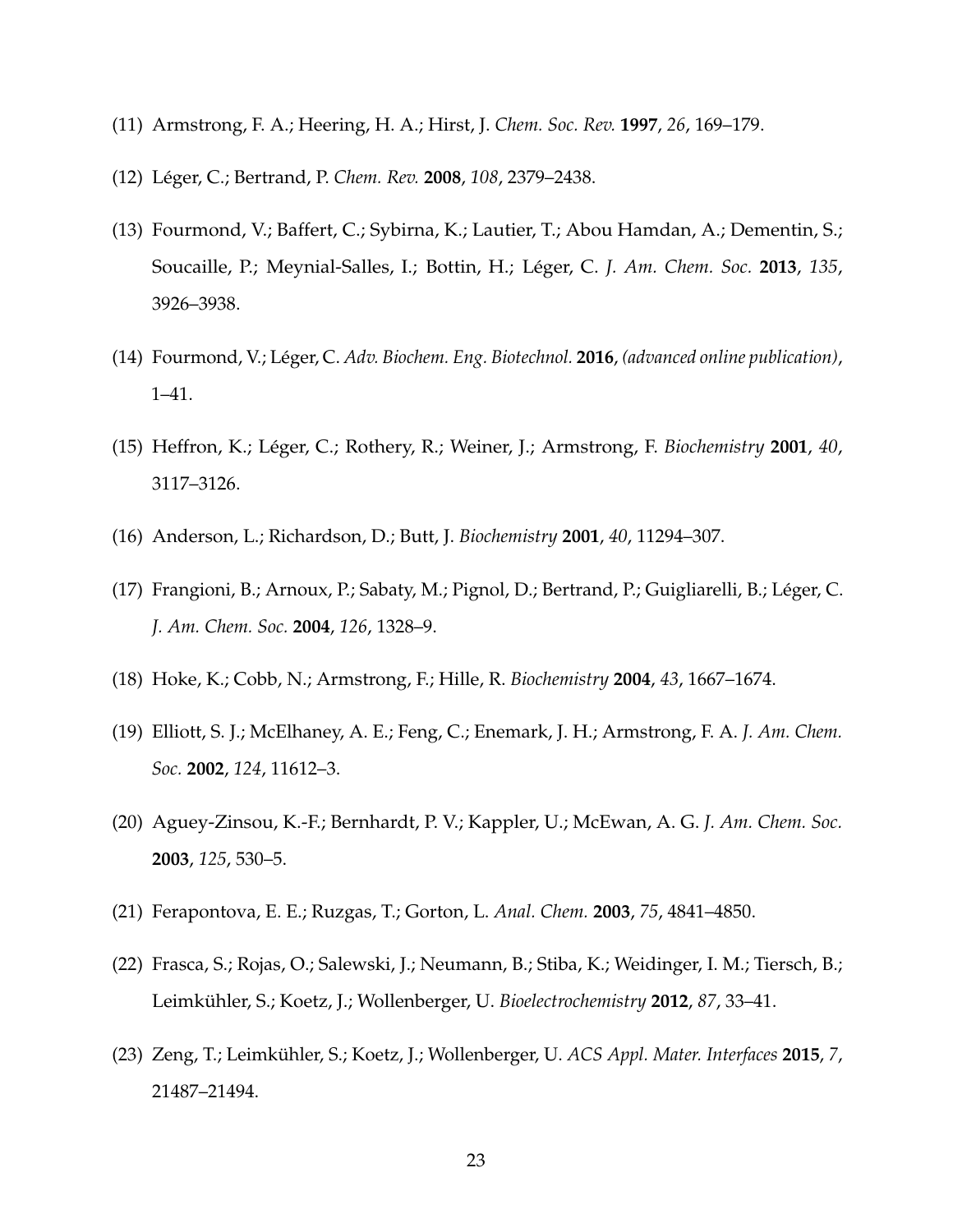- (11) Armstrong, F. A.; Heering, H. A.; Hirst, J. *Chem. Soc. Rev.* **1997**, *26*, 169–179.
- (12) Léger, C.; Bertrand, P. *Chem. Rev.* **2008**, *108*, 2379–2438.
- (13) Fourmond, V.; Baffert, C.; Sybirna, K.; Lautier, T.; Abou Hamdan, A.; Dementin, S.; Soucaille, P.; Meynial-Salles, I.; Bottin, H.; Léger, C. *J. Am. Chem. Soc.* **2013**, *135*, 3926–3938.
- (14) Fourmond, V.; Léger, C. *Adv. Biochem. Eng. Biotechnol.* **2016**, *(advanced online publication)*, 1–41.
- (15) Heffron, K.; Léger, C.; Rothery, R.; Weiner, J.; Armstrong, F. *Biochemistry* **2001**, *40*, 3117–3126.
- (16) Anderson, L.; Richardson, D.; Butt, J. *Biochemistry* **2001**, *40*, 11294–307.
- (17) Frangioni, B.; Arnoux, P.; Sabaty, M.; Pignol, D.; Bertrand, P.; Guigliarelli, B.; Léger, C. *J. Am. Chem. Soc.* **2004**, *126*, 1328–9.
- (18) Hoke, K.; Cobb, N.; Armstrong, F.; Hille, R. *Biochemistry* **2004**, *43*, 1667–1674.
- (19) Elliott, S. J.; McElhaney, A. E.; Feng, C.; Enemark, J. H.; Armstrong, F. A. *J. Am. Chem. Soc.* **2002**, *124*, 11612–3.
- (20) Aguey-Zinsou, K.-F.; Bernhardt, P. V.; Kappler, U.; McEwan, A. G. *J. Am. Chem. Soc.* **2003**, *125*, 530–5.
- (21) Ferapontova, E. E.; Ruzgas, T.; Gorton, L. *Anal. Chem.* **2003**, *75*, 4841–4850.
- (22) Frasca, S.; Rojas, O.; Salewski, J.; Neumann, B.; Stiba, K.; Weidinger, I. M.; Tiersch, B.; Leimkühler, S.; Koetz, J.; Wollenberger, U. *Bioelectrochemistry* **2012**, *87*, 33–41.
- (23) Zeng, T.; Leimkühler, S.; Koetz, J.; Wollenberger, U. *ACS Appl. Mater. Interfaces* **2015**, *7*, 21487–21494.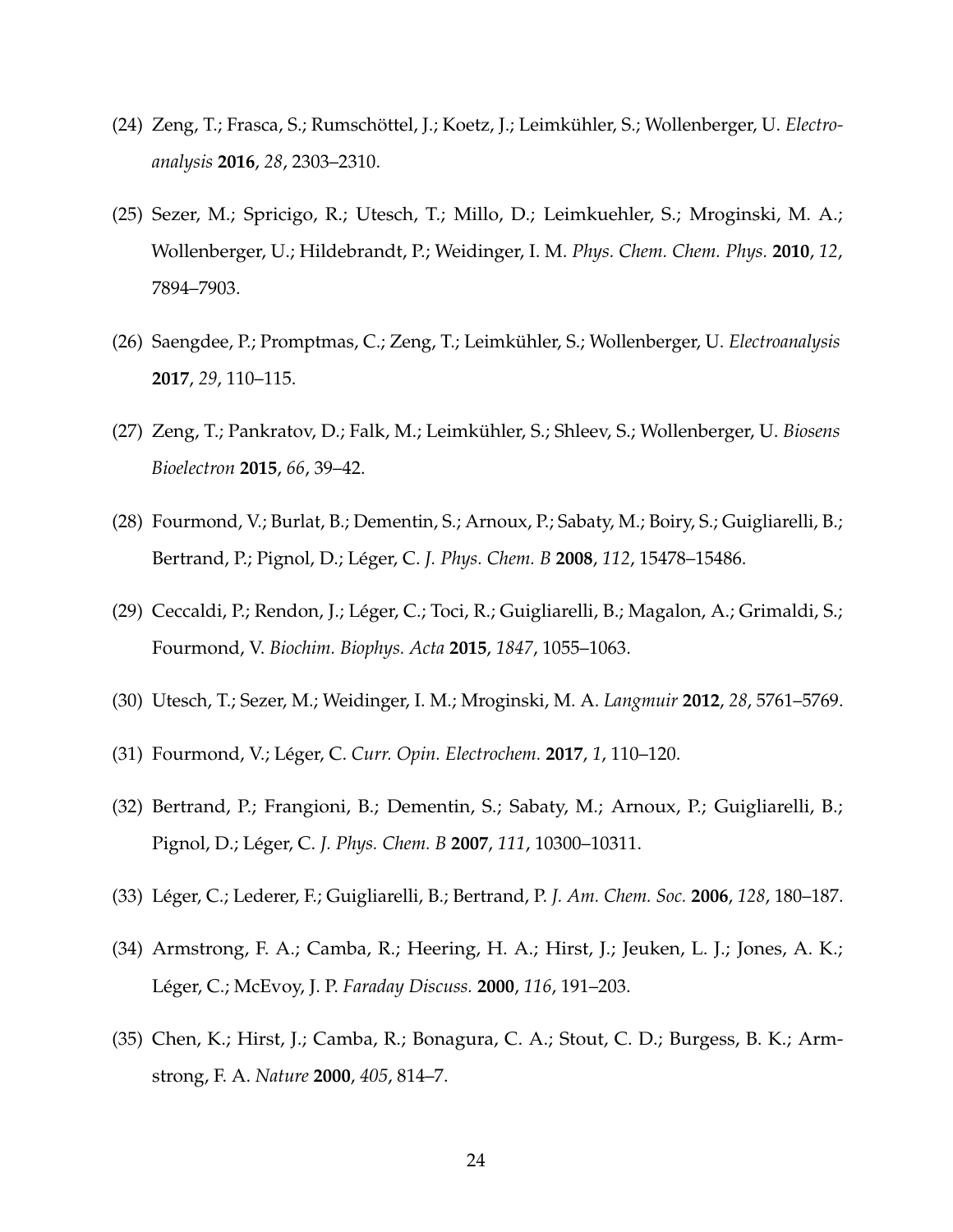- (24) Zeng, T.; Frasca, S.; Rumschöttel, J.; Koetz, J.; Leimkühler, S.; Wollenberger, U. *Electroanalysis* **2016**, *28*, 2303–2310.
- (25) Sezer, M.; Spricigo, R.; Utesch, T.; Millo, D.; Leimkuehler, S.; Mroginski, M. A.; Wollenberger, U.; Hildebrandt, P.; Weidinger, I. M. *Phys. Chem. Chem. Phys.* **2010**, *12*, 7894–7903.
- (26) Saengdee, P.; Promptmas, C.; Zeng, T.; Leimkühler, S.; Wollenberger, U. *Electroanalysis* **2017**, *29*, 110–115.
- (27) Zeng, T.; Pankratov, D.; Falk, M.; Leimkühler, S.; Shleev, S.; Wollenberger, U. *Biosens Bioelectron* **2015**, *66*, 39–42.
- (28) Fourmond, V.; Burlat, B.; Dementin, S.; Arnoux, P.; Sabaty, M.; Boiry, S.; Guigliarelli, B.; Bertrand, P.; Pignol, D.; Léger, C. *J. Phys. Chem. B* **2008**, *112*, 15478–15486.
- (29) Ceccaldi, P.; Rendon, J.; Léger, C.; Toci, R.; Guigliarelli, B.; Magalon, A.; Grimaldi, S.; Fourmond, V. *Biochim. Biophys. Acta* **2015**, *1847*, 1055–1063.
- (30) Utesch, T.; Sezer, M.; Weidinger, I. M.; Mroginski, M. A. *Langmuir* **2012**, *28*, 5761–5769.
- (31) Fourmond, V.; Léger, C. *Curr. Opin. Electrochem.* **2017**, *1*, 110–120.
- (32) Bertrand, P.; Frangioni, B.; Dementin, S.; Sabaty, M.; Arnoux, P.; Guigliarelli, B.; Pignol, D.; Léger, C. *J. Phys. Chem. B* **2007**, *111*, 10300–10311.
- (33) Léger, C.; Lederer, F.; Guigliarelli, B.; Bertrand, P. *J. Am. Chem. Soc.* **2006**, *128*, 180–187.
- (34) Armstrong, F. A.; Camba, R.; Heering, H. A.; Hirst, J.; Jeuken, L. J.; Jones, A. K.; Léger, C.; McEvoy, J. P. *Faraday Discuss.* **2000**, *116*, 191–203.
- (35) Chen, K.; Hirst, J.; Camba, R.; Bonagura, C. A.; Stout, C. D.; Burgess, B. K.; Armstrong, F. A. *Nature* **2000**, *405*, 814–7.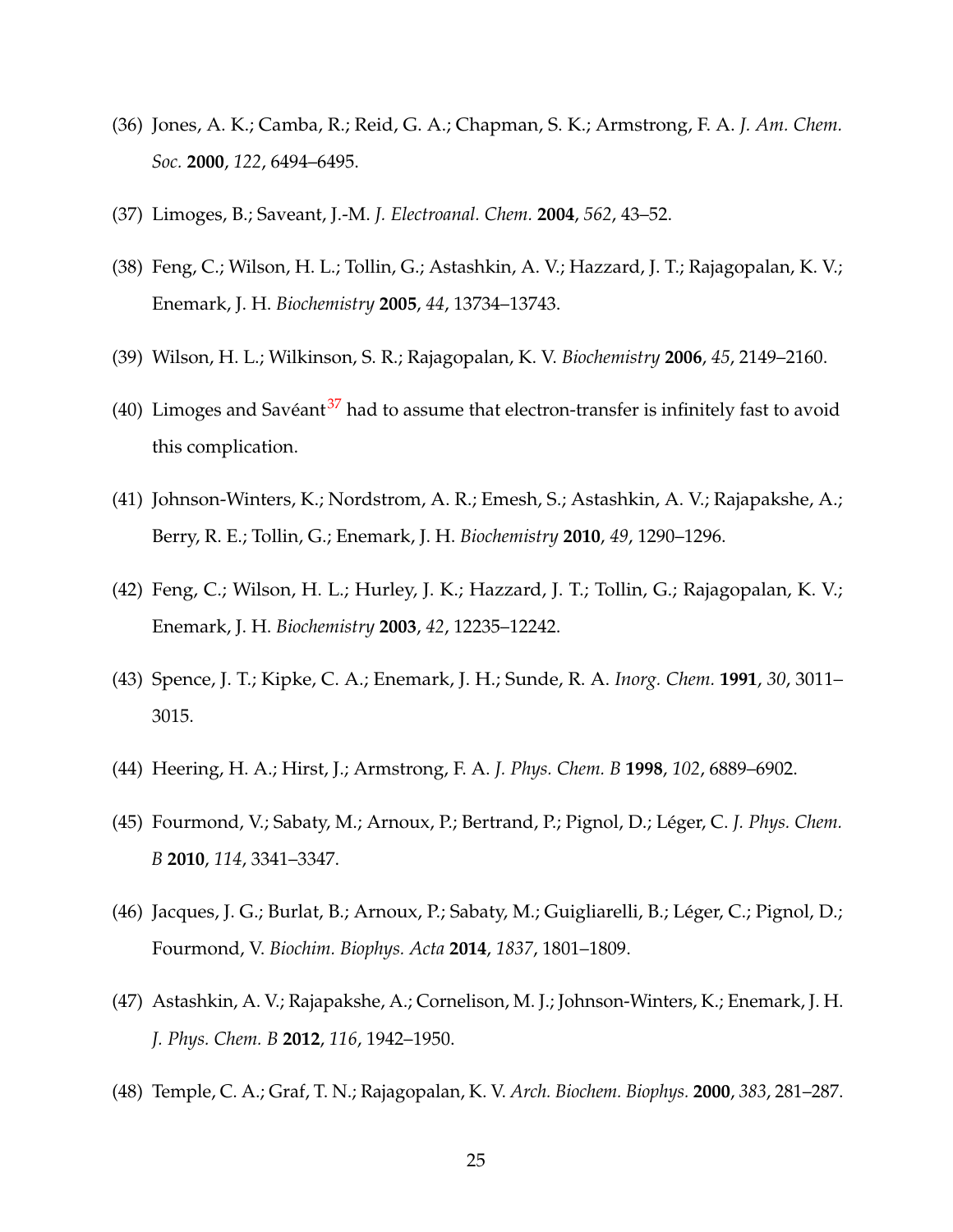- (36) Jones, A. K.; Camba, R.; Reid, G. A.; Chapman, S. K.; Armstrong, F. A. *J. Am. Chem. Soc.* **2000**, *122*, 6494–6495.
- (37) Limoges, B.; Saveant, J.-M. *J. Electroanal. Chem.* **2004**, *562*, 43–52.
- (38) Feng, C.; Wilson, H. L.; Tollin, G.; Astashkin, A. V.; Hazzard, J. T.; Rajagopalan, K. V.; Enemark, J. H. *Biochemistry* **2005**, *44*, 13734–13743.
- (39) Wilson, H. L.; Wilkinson, S. R.; Rajagopalan, K. V. *Biochemistry* **2006**, *45*, 2149–2160.
- (40) Limoges and Savéant<sup>37</sup> had to assume that electron-transfer is infinitely fast to avoid this complication.
- (41) Johnson-Winters, K.; Nordstrom, A. R.; Emesh, S.; Astashkin, A. V.; Rajapakshe, A.; Berry, R. E.; Tollin, G.; Enemark, J. H. *Biochemistry* **2010**, *49*, 1290–1296.
- (42) Feng, C.; Wilson, H. L.; Hurley, J. K.; Hazzard, J. T.; Tollin, G.; Rajagopalan, K. V.; Enemark, J. H. *Biochemistry* **2003**, *42*, 12235–12242.
- (43) Spence, J. T.; Kipke, C. A.; Enemark, J. H.; Sunde, R. A. *Inorg. Chem.* **1991**, *30*, 3011– 3015.
- (44) Heering, H. A.; Hirst, J.; Armstrong, F. A. *J. Phys. Chem. B* **1998**, *102*, 6889–6902.
- (45) Fourmond, V.; Sabaty, M.; Arnoux, P.; Bertrand, P.; Pignol, D.; Léger, C. *J. Phys. Chem. B* **2010**, *114*, 3341–3347.
- (46) Jacques, J. G.; Burlat, B.; Arnoux, P.; Sabaty, M.; Guigliarelli, B.; Léger, C.; Pignol, D.; Fourmond, V. *Biochim. Biophys. Acta* **2014**, *1837*, 1801–1809.
- (47) Astashkin, A. V.; Rajapakshe, A.; Cornelison, M. J.; Johnson-Winters, K.; Enemark, J. H. *J. Phys. Chem. B* **2012**, *116*, 1942–1950.
- (48) Temple, C. A.; Graf, T. N.; Rajagopalan, K. V. *Arch. Biochem. Biophys.* **2000**, *383*, 281–287.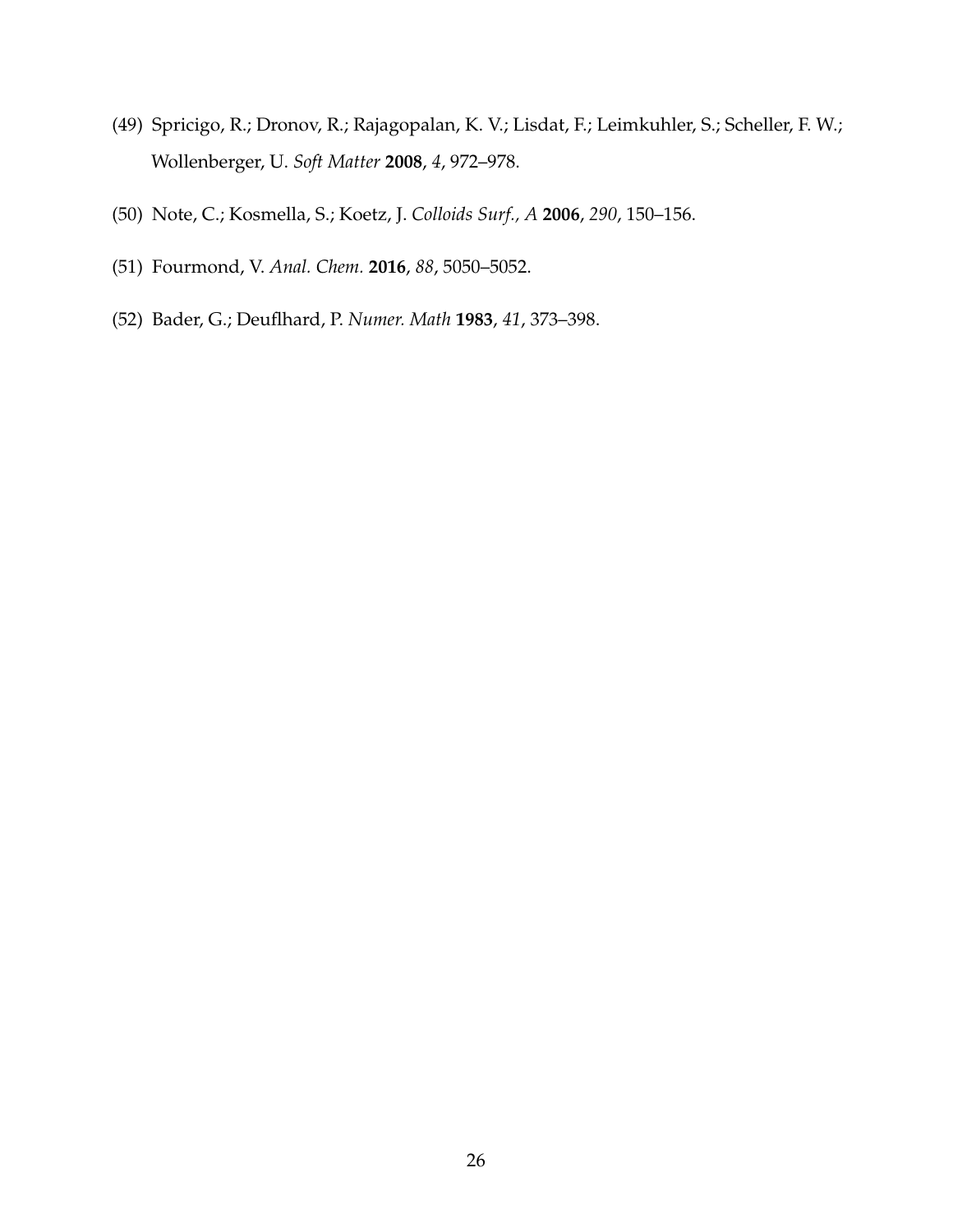- (49) Spricigo, R.; Dronov, R.; Rajagopalan, K. V.; Lisdat, F.; Leimkuhler, S.; Scheller, F. W.; Wollenberger, U. *Soft Matter* **2008**, *4*, 972–978.
- (50) Note, C.; Kosmella, S.; Koetz, J. *Colloids Surf., A* **2006**, *290*, 150–156.
- (51) Fourmond, V. *Anal. Chem.* **2016**, *88*, 5050–5052.
- (52) Bader, G.; Deuflhard, P. *Numer. Math* **1983**, *41*, 373–398.